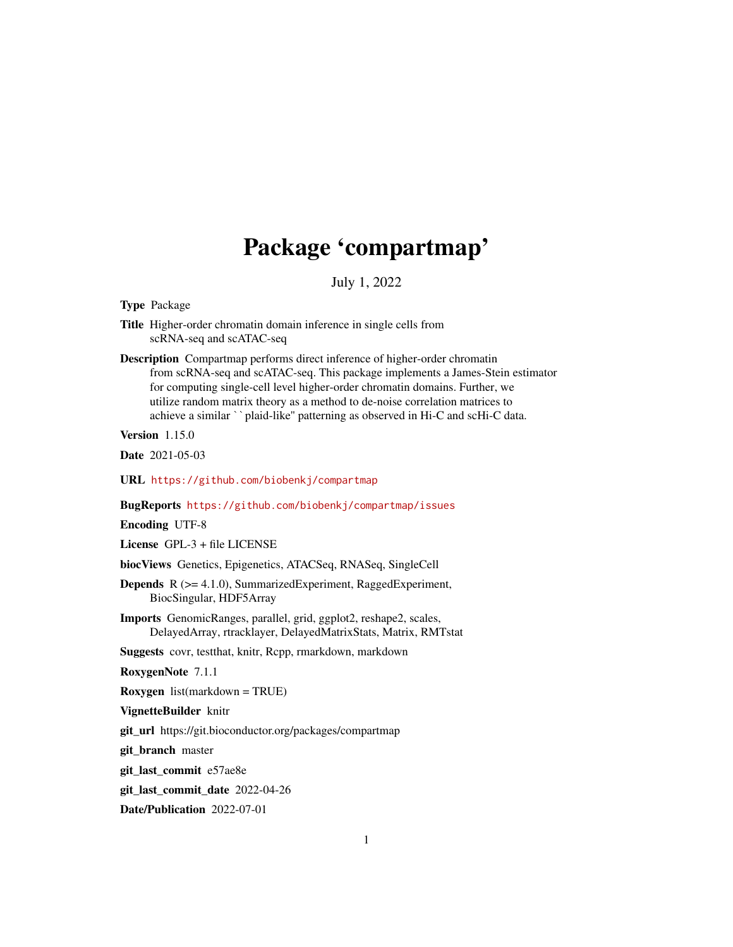# Package 'compartmap'

July 1, 2022

Type Package

- Title Higher-order chromatin domain inference in single cells from scRNA-seq and scATAC-seq
- Description Compartmap performs direct inference of higher-order chromatin from scRNA-seq and scATAC-seq. This package implements a James-Stein estimator for computing single-cell level higher-order chromatin domains. Further, we utilize random matrix theory as a method to de-noise correlation matrices to achieve a similar ``plaid-like'' patterning as observed in Hi-C and scHi-C data.

Version 1.15.0

Date 2021-05-03

URL <https://github.com/biobenkj/compartmap>

BugReports <https://github.com/biobenkj/compartmap/issues>

Encoding UTF-8

License GPL-3 + file LICENSE

biocViews Genetics, Epigenetics, ATACSeq, RNASeq, SingleCell

- Depends R (>= 4.1.0), SummarizedExperiment, RaggedExperiment, BiocSingular, HDF5Array
- Imports GenomicRanges, parallel, grid, ggplot2, reshape2, scales, DelayedArray, rtracklayer, DelayedMatrixStats, Matrix, RMTstat

Suggests covr, testthat, knitr, Rcpp, rmarkdown, markdown

RoxygenNote 7.1.1

Roxygen list(markdown = TRUE)

VignetteBuilder knitr

git\_url https://git.bioconductor.org/packages/compartmap

git\_branch master

git\_last\_commit e57ae8e

git\_last\_commit\_date 2022-04-26

Date/Publication 2022-07-01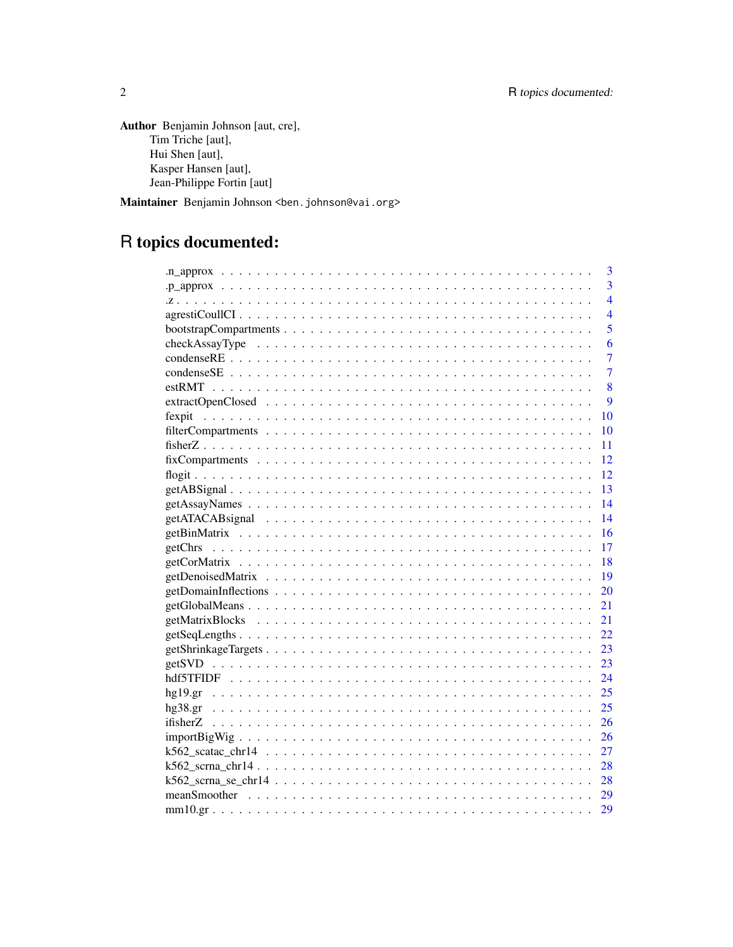Author Benjamin Johnson [aut, cre], Tim Triche [aut], Hui Shen [aut], Kasper Hansen [aut], Jean-Philippe Fortin [aut]

Maintainer Benjamin Johnson <br/>ben. johnson@vai.org>

# R topics documented:

|                                                                                                            | 3              |
|------------------------------------------------------------------------------------------------------------|----------------|
|                                                                                                            | 3              |
|                                                                                                            | $\overline{4}$ |
|                                                                                                            | $\overline{4}$ |
|                                                                                                            | 5              |
|                                                                                                            | 6              |
|                                                                                                            | 7              |
|                                                                                                            | $\overline{7}$ |
|                                                                                                            | 8              |
|                                                                                                            | $\mathbf Q$    |
| 10                                                                                                         |                |
| 10                                                                                                         |                |
| 11                                                                                                         |                |
| $fixComparments \ldots \ldots \ldots \ldots \ldots \ldots \ldots \ldots \ldots \ldots \ldots \ldots$<br>12 |                |
| 12                                                                                                         |                |
| $\overline{13}$                                                                                            |                |
| $\overline{14}$                                                                                            |                |
| -14                                                                                                        |                |
| 16                                                                                                         |                |
| -17                                                                                                        |                |
| $-18$                                                                                                      |                |
| -19                                                                                                        |                |
| 20                                                                                                         |                |
| 21                                                                                                         |                |
|                                                                                                            |                |
|                                                                                                            |                |
|                                                                                                            |                |
|                                                                                                            |                |
|                                                                                                            |                |
|                                                                                                            |                |
|                                                                                                            |                |
|                                                                                                            |                |
|                                                                                                            |                |
|                                                                                                            |                |
|                                                                                                            |                |
|                                                                                                            |                |
|                                                                                                            |                |
|                                                                                                            |                |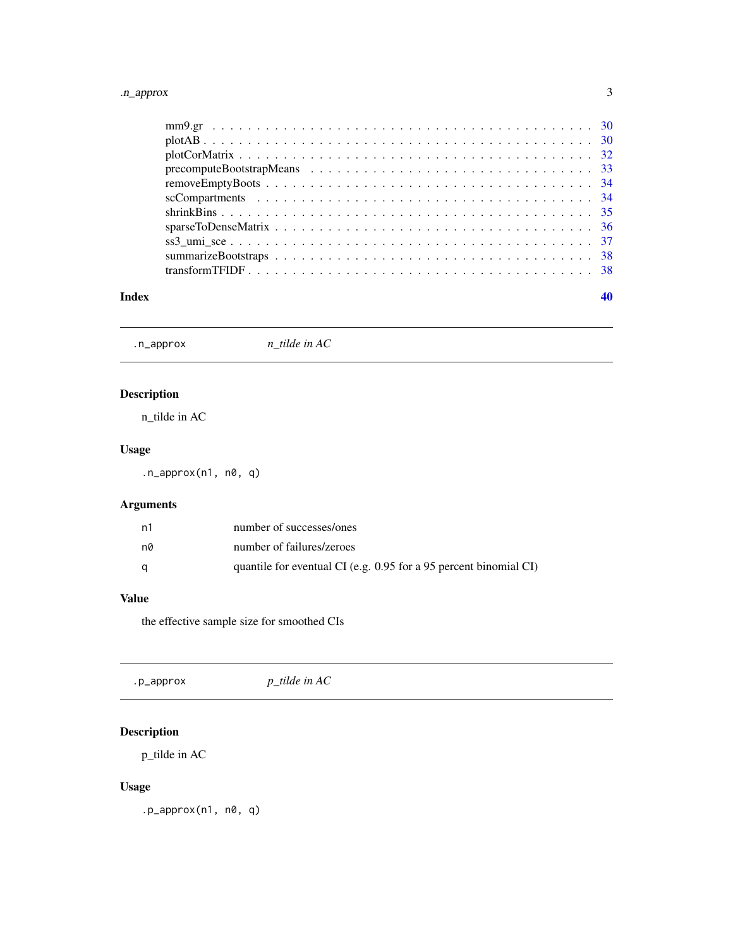#### <span id="page-2-0"></span>.n\_approx 3

#### $\blacksquare$

.n\_approx *n\_tilde in AC*

### Description

n\_tilde in AC

### Usage

.n\_approx(n1, n0, q)

### Arguments

| n1 | number of successes/ones                                            |
|----|---------------------------------------------------------------------|
| n0 | number of failures/zeroes                                           |
|    | quantile for eventual CI (e.g. $0.95$ for a 95 percent binomial CI) |

### Value

the effective sample size for smoothed CIs

| .p_approx | $p$ _tilde in AC |  |  |
|-----------|------------------|--|--|
|-----------|------------------|--|--|

## Description

p\_tilde in AC

### Usage

.p\_approx(n1, n0, q)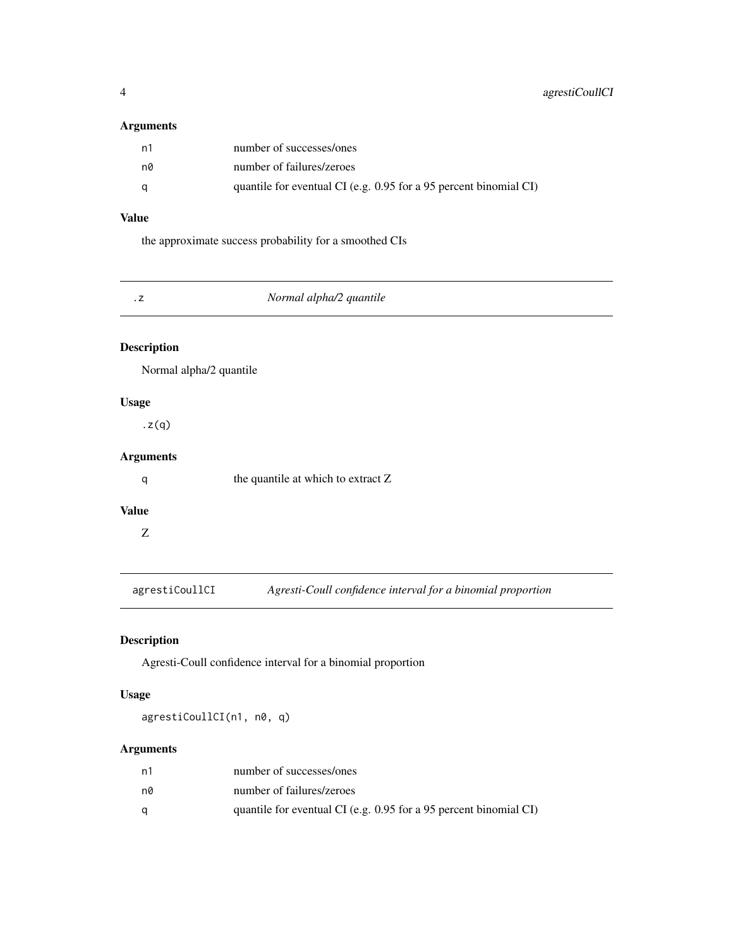### <span id="page-3-0"></span>Arguments

| - n1 | number of successes/ones                                            |
|------|---------------------------------------------------------------------|
| n0   | number of failures/zeroes                                           |
| a    | quantile for eventual CI (e.g. $0.95$ for a 95 percent binomial CI) |

### Value

the approximate success probability for a smoothed CIs

| Normal alpha/2 quantile |  |
|-------------------------|--|
|                         |  |

### Description

Normal alpha/2 quantile

### Usage

.z(q)

### Arguments

q the quantile at which to extract Z

### Value

Z

agrestiCoullCI *Agresti-Coull confidence interval for a binomial proportion*

### Description

Agresti-Coull confidence interval for a binomial proportion

### Usage

agrestiCoullCI(n1, n0, q)

### Arguments

| n1 | number of successes/ones                                          |
|----|-------------------------------------------------------------------|
| n0 | number of failures/zeroes                                         |
|    | quantile for eventual CI (e.g. 0.95 for a 95 percent binomial CI) |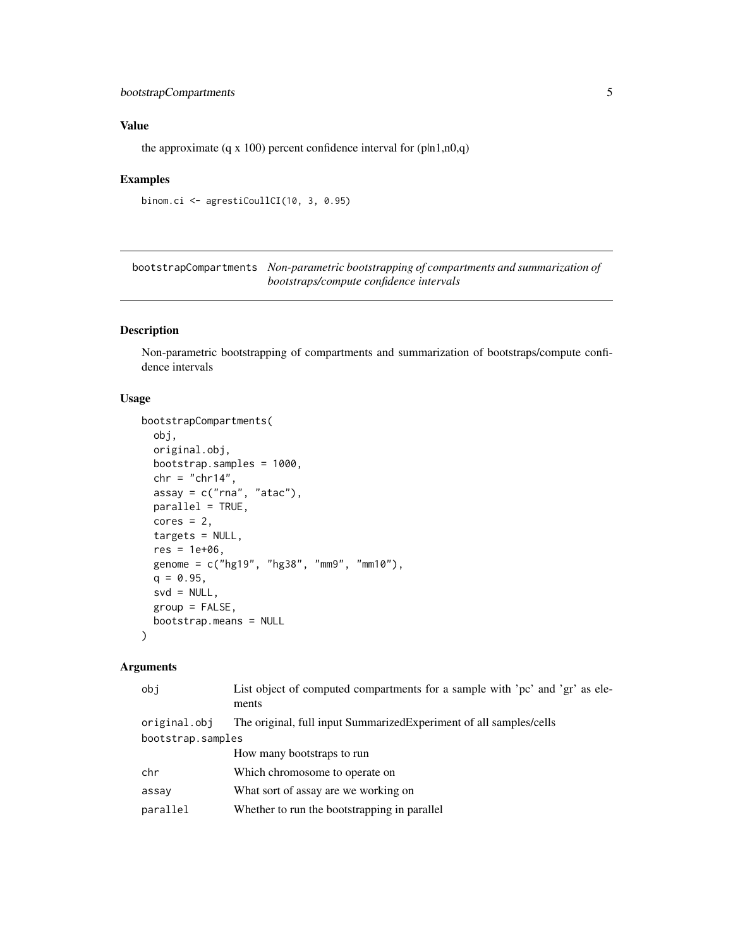### <span id="page-4-0"></span>bootstrapCompartments 5

### Value

the approximate (q x 100) percent confidence interval for  $(\text{pln1,n0,q})$ 

#### Examples

```
binom.ci <- agrestiCoullCI(10, 3, 0.95)
```
bootstrapCompartments *Non-parametric bootstrapping of compartments and summarization of bootstraps/compute confidence intervals*

### Description

Non-parametric bootstrapping of compartments and summarization of bootstraps/compute confidence intervals

#### Usage

```
bootstrapCompartments(
  obj,
  original.obj,
 bootstrap.samples = 1000,
 chr = "chr14",assay = c("rna", "atac"),parallel = TRUE,
  cores = 2,targets = NULL,
  res = 1e+06,
  genome = c("hg19", "hg38", "mm9", "mm10"),
  q = 0.95,
  svd = NULL,group = FALSE,
 bootstrap.means = NULL
\lambda
```
#### Arguments

| obi               | List object of computed compartments for a sample with 'pc' and 'gr' as ele-<br>ments |
|-------------------|---------------------------------------------------------------------------------------|
| original.obj      | The original, full input Summarized Experiment of all samples/cells                   |
| bootstrap.samples |                                                                                       |
|                   | How many bootstraps to run                                                            |
| chr               | Which chromosome to operate on                                                        |
| assay             | What sort of assay are we working on                                                  |
| parallel          | Whether to run the bootstrapping in parallel                                          |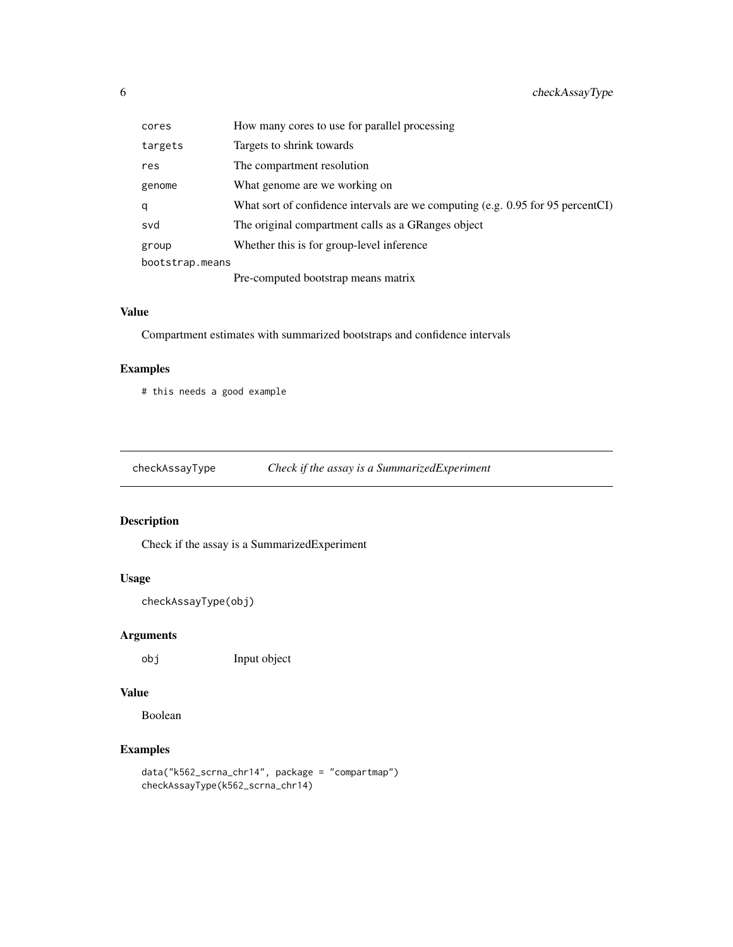<span id="page-5-0"></span>

| cores           | How many cores to use for parallel processing                                      |
|-----------------|------------------------------------------------------------------------------------|
| targets         | Targets to shrink towards                                                          |
| res             | The compartment resolution                                                         |
| genome          | What genome are we working on                                                      |
| q               | What sort of confidence intervals are we computing (e.g. $0.95$ for 95 percent CI) |
| svd             | The original compartment calls as a GRanges object                                 |
| group           | Whether this is for group-level inference                                          |
| bootstrap.means |                                                                                    |
|                 | Pre-computed bootstrap means matrix                                                |

### Value

Compartment estimates with summarized bootstraps and confidence intervals

### Examples

# this needs a good example

checkAssayType *Check if the assay is a SummarizedExperiment*

### Description

Check if the assay is a SummarizedExperiment

### Usage

checkAssayType(obj)

### Arguments

obj Input object

### Value

Boolean

```
data("k562_scrna_chr14", package = "compartmap")
checkAssayType(k562_scrna_chr14)
```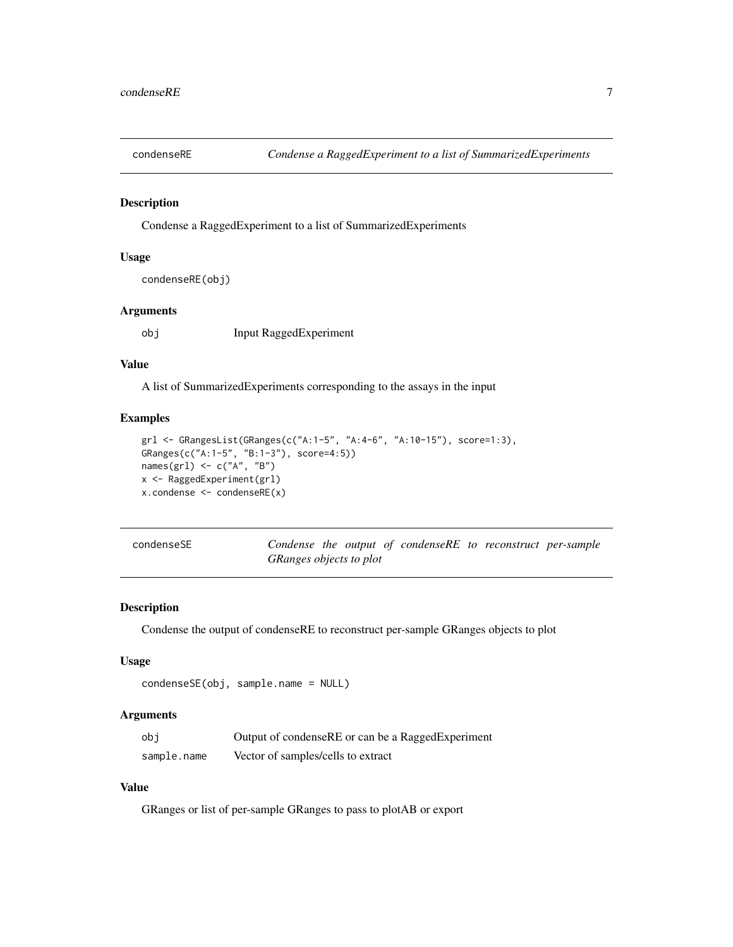<span id="page-6-0"></span>

Condense a RaggedExperiment to a list of SummarizedExperiments

### Usage

```
condenseRE(obj)
```
### Arguments

obj Input RaggedExperiment

#### Value

A list of SummarizedExperiments corresponding to the assays in the input

#### Examples

```
grl <- GRangesList(GRanges(c("A:1-5", "A:4-6", "A:10-15"), score=1:3),
GRanges(c("A:1-5", "B:1-3"), score=4:5))
names(grl) <- c("A", "B")x <- RaggedExperiment(grl)
x.condense <- condenseRE(x)
```

| condenseSE |
|------------|
|------------|

Condense the output of condenseRE to reconstruct per-sample *GRanges objects to plot*

#### Description

Condense the output of condenseRE to reconstruct per-sample GRanges objects to plot

#### Usage

```
condenseSE(obj, sample.name = NULL)
```
#### Arguments

| obi         | Output of condenseRE or can be a RaggedExperiment |
|-------------|---------------------------------------------------|
| sample.name | Vector of samples/cells to extract                |

### Value

GRanges or list of per-sample GRanges to pass to plotAB or export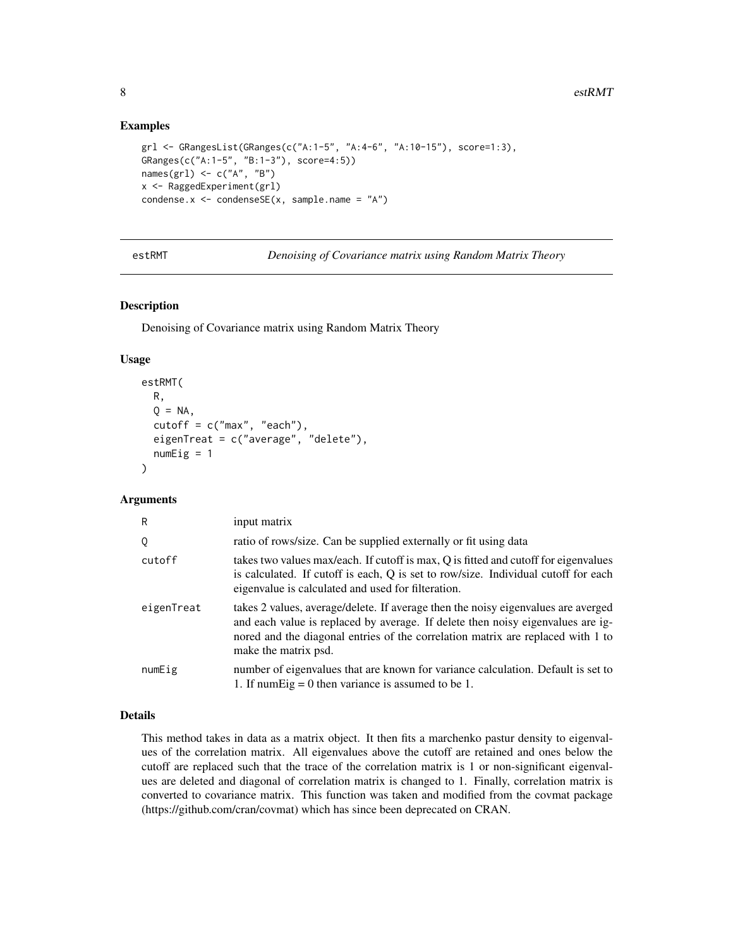#### Examples

```
grl <- GRangesList(GRanges(c("A:1-5", "A:4-6", "A:10-15"), score=1:3),
GRanges(c("A:1-5", "B:1-3"), score=4:5))
names(grl) \leq c("A", "B")
x <- RaggedExperiment(grl)
condense.x \leq condenseSE(x, sample.name = "A")
```
estRMT *Denoising of Covariance matrix using Random Matrix Theory*

#### Description

Denoising of Covariance matrix using Random Matrix Theory

### Usage

```
estRMT(
 R,
 Q = NA,
  cutoff = c("max", "each"),eigenTreat = c("average", "delete"),
  numEig = 1)
```
### Arguments

| R          | input matrix                                                                                                                                                                                                                                                                    |
|------------|---------------------------------------------------------------------------------------------------------------------------------------------------------------------------------------------------------------------------------------------------------------------------------|
| Q          | ratio of rows/size. Can be supplied externally or fit using data                                                                                                                                                                                                                |
| cutoff     | takes two values max/each. If cutoff is max, Q is fitted and cutoff for eigenvalues<br>is calculated. If cutoff is each, Q is set to row/size. Individual cutoff for each<br>eigenvalue is calculated and used for filteration.                                                 |
| eigenTreat | takes 2 values, average/delete. If average then the noisy eigenvalues are averged<br>and each value is replaced by average. If delete then noisy eigenvalues are ig-<br>nored and the diagonal entries of the correlation matrix are replaced with 1 to<br>make the matrix psd. |
| numEig     | number of eigenvalues that are known for variance calculation. Default is set to<br>1. If numEig = 0 then variance is assumed to be 1.                                                                                                                                          |

#### Details

This method takes in data as a matrix object. It then fits a marchenko pastur density to eigenvalues of the correlation matrix. All eigenvalues above the cutoff are retained and ones below the cutoff are replaced such that the trace of the correlation matrix is 1 or non-significant eigenvalues are deleted and diagonal of correlation matrix is changed to 1. Finally, correlation matrix is converted to covariance matrix. This function was taken and modified from the covmat package (https://github.com/cran/covmat) which has since been deprecated on CRAN.

<span id="page-7-0"></span>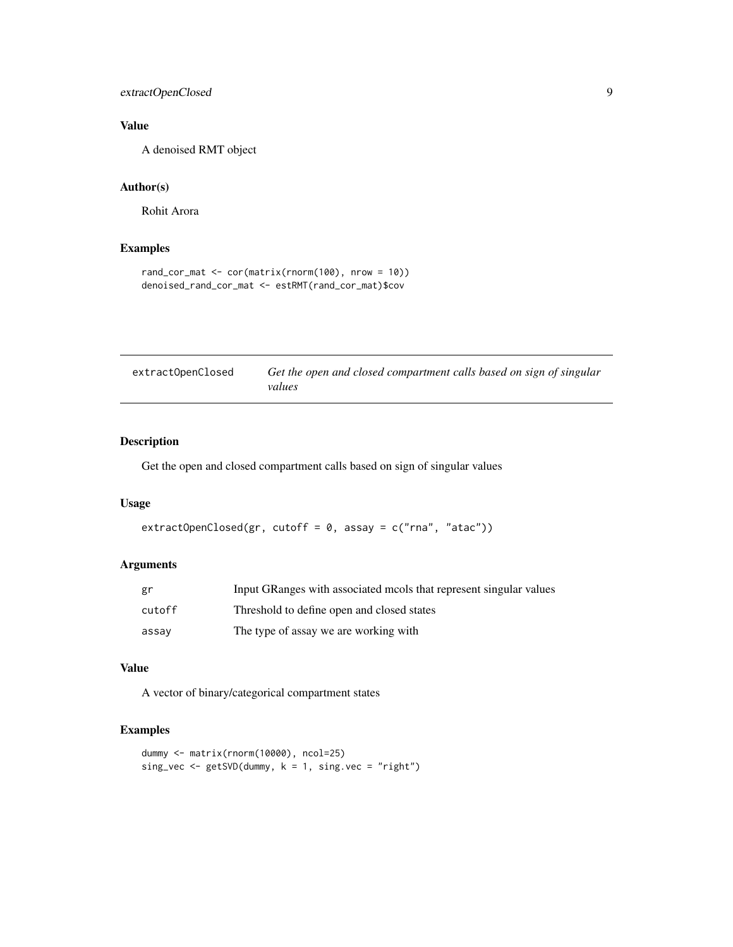### <span id="page-8-0"></span>extractOpenClosed 9

### Value

A denoised RMT object

#### Author(s)

Rohit Arora

### Examples

```
rand_cor_mat <- cor(matrix(rnorm(100), nrow = 10))
denoised_rand_cor_mat <- estRMT(rand_cor_mat)$cov
```

| extractOpenClosed | Get the open and closed compartment calls based on sign of singular |
|-------------------|---------------------------------------------------------------------|
|                   | values                                                              |

### Description

Get the open and closed compartment calls based on sign of singular values

#### Usage

```
extractOpenClosed(gr, cutoff = 0, assay = c("rna", "atac"))
```
### Arguments

| gr     | Input GRanges with associated mools that represent singular values |
|--------|--------------------------------------------------------------------|
| cutoff | Threshold to define open and closed states                         |
| assay  | The type of assay we are working with                              |

### Value

A vector of binary/categorical compartment states

```
dummy <- matrix(rnorm(10000), ncol=25)
sing_vec <- getSVD(dummy, k = 1, sing.vec = "right")
```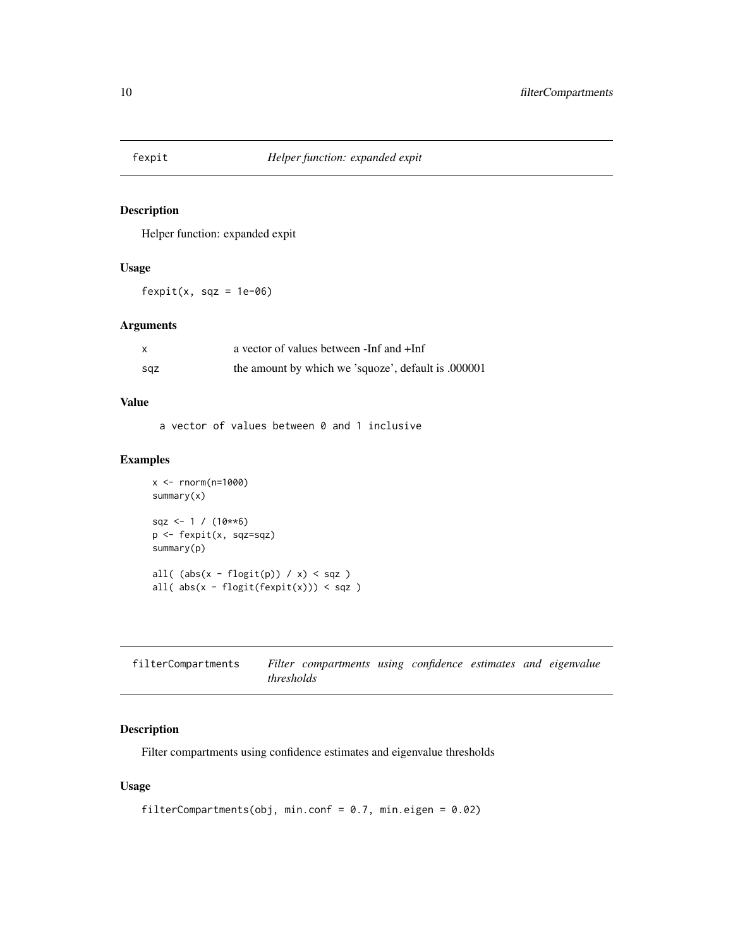<span id="page-9-0"></span>

Helper function: expanded expit

#### Usage

 $fexpit(x, sqz = 1e-06)$ 

### Arguments

|     | a vector of values between -Inf and +Inf            |
|-----|-----------------------------------------------------|
| sqz | the amount by which we 'squoze', default is .000001 |

### Value

a vector of values between 0 and 1 inclusive

### Examples

```
x <- rnorm(n=1000)
summary(x)
sqz <- 1 / (10**6)p <- fexpit(x, sqz=sqz)
summary(p)
all( (abs(x - flogit(p)) / x) < sqz )
all( abs(x - flogit(fexpit(x))) < sqz )
```

| filterCompartments |            | Filter compartments using confidence estimates and eigenvalue |  |  |  |
|--------------------|------------|---------------------------------------------------------------|--|--|--|
|                    | thresholds |                                                               |  |  |  |

### Description

Filter compartments using confidence estimates and eigenvalue thresholds

```
filterCompartments(obj, min.conf = 0.7, min.eigen = 0.02)
```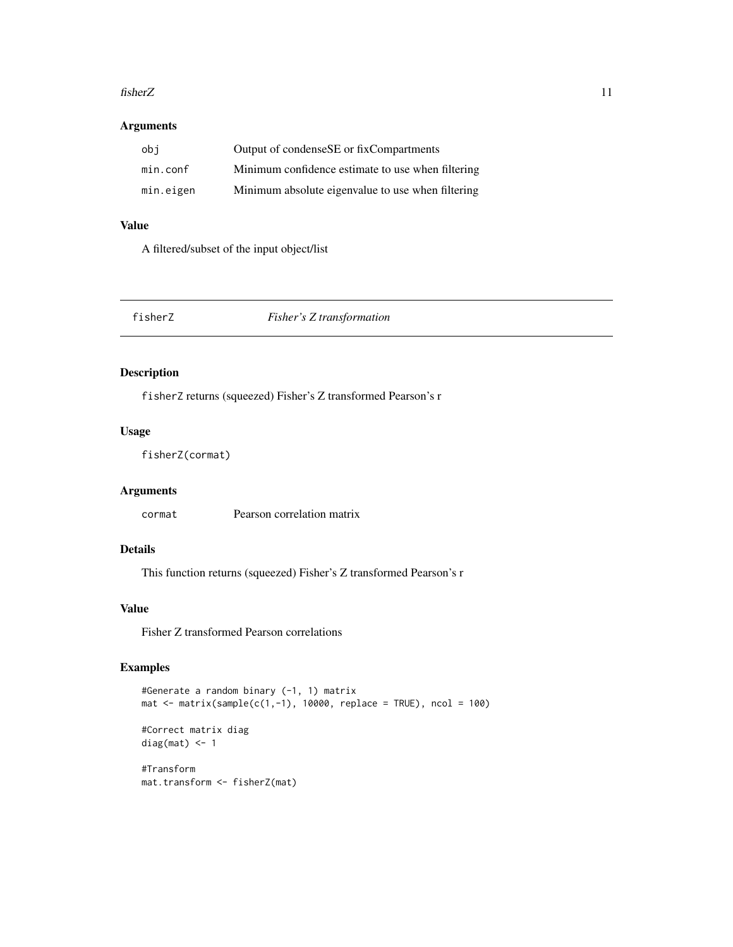#### <span id="page-10-0"></span>fisherZ 11

### Arguments

| obi       | Output of condenseSE or fixCompartments           |
|-----------|---------------------------------------------------|
| min.conf  | Minimum confidence estimate to use when filtering |
| min.eigen | Minimum absolute eigenvalue to use when filtering |

### Value

A filtered/subset of the input object/list

fisherZ *Fisher's Z transformation*

### Description

fisherZ returns (squeezed) Fisher's Z transformed Pearson's r

### Usage

fisherZ(cormat)

### Arguments

cormat Pearson correlation matrix

### Details

This function returns (squeezed) Fisher's Z transformed Pearson's r

### Value

Fisher Z transformed Pearson correlations

### Examples

```
#Generate a random binary (-1, 1) matrix
mat \leq matrix(sample(c(1,-1), 10000, replace = TRUE), ncol = 100)
```

```
#Correct matrix diag
diag(mat) <- 1
```
#Transform mat.transform <- fisherZ(mat)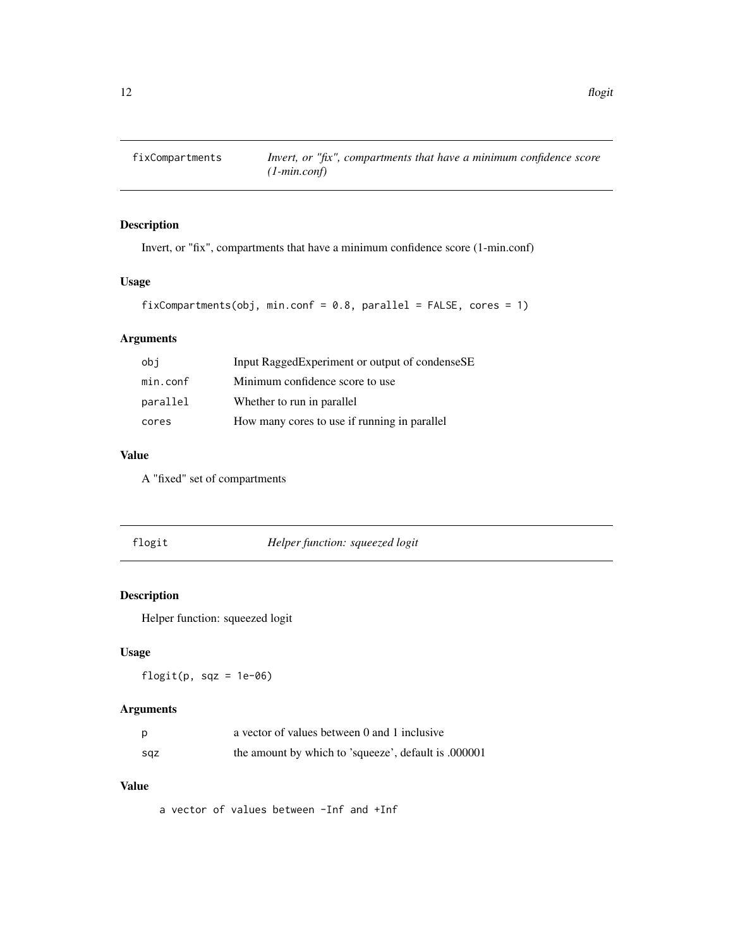<span id="page-11-0"></span>

Invert, or "fix", compartments that have a minimum confidence score (1-min.conf)

### Usage

```
fixCompartments(obj, min.conf = 0.8, parallel = FALSE, cores = 1)
```
### Arguments

| obi      | Input Ragged Experiment or output of condense SE |
|----------|--------------------------------------------------|
| min.conf | Minimum confidence score to use                  |
| parallel | Whether to run in parallel                       |
| cores    | How many cores to use if running in parallel     |

### Value

A "fixed" set of compartments

| 1081 |  |
|------|--|
|      |  |

flogit *Helper function: squeezed logit*

### Description

Helper function: squeezed logit

### Usage

flogit(p,  $sqz = 1e-06$ )

### Arguments

|     | a vector of values between 0 and 1 inclusive         |
|-----|------------------------------------------------------|
| sqz | the amount by which to 'squeeze', default is .000001 |

#### Value

a vector of values between -Inf and +Inf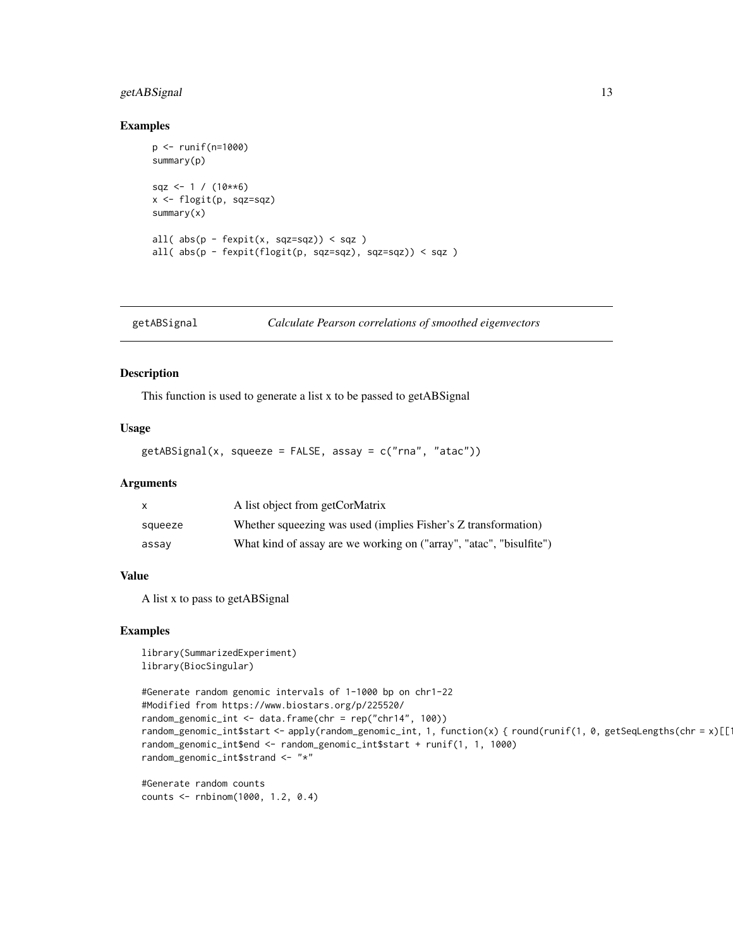### <span id="page-12-0"></span>getABSignal 13

### Examples

```
p <- runif(n=1000)
summary(p)
sqz \leftarrow 1 / (10**6)
x <- flogit(p, sqz=sqz)
summary(x)
all(abs(p - fexpit(x, sqz=sqz)) < sqz)
all( abs(p - fexpit(flogit(p, sqz=sqz), sqz=sqz)) < sqz )
```
getABSignal *Calculate Pearson correlations of smoothed eigenvectors*

### Description

This function is used to generate a list x to be passed to getABSignal

#### Usage

```
getABSignal(x, squeeze = FALSE, assay = c("rna", "atac"))
```
#### Arguments

| $\mathsf{x}$ | A list object from getCorMatrix                                     |
|--------------|---------------------------------------------------------------------|
| squeeze      | Whether squeezing was used (implies Fisher's Z transformation)      |
| assav        | What kind of assay are we working on ("array", "atac", "bisulfite") |

#### Value

A list x to pass to getABSignal

### Examples

```
library(SummarizedExperiment)
library(BiocSingular)
```

```
#Generate random genomic intervals of 1-1000 bp on chr1-22
#Modified from https://www.biostars.org/p/225520/
random_genomic_int <- data.frame(chr = rep("chr14", 100))
random_genomic_int$start <- apply(random_genomic_int, 1, function(x) { round(runif(1, 0, getSeqLengths(chr = x)[[1])
random_genomic_int$end <- random_genomic_int$start + runif(1, 1, 1000)
random_genomic_int$strand <- "*"
```
#Generate random counts counts <- rnbinom(1000, 1.2, 0.4)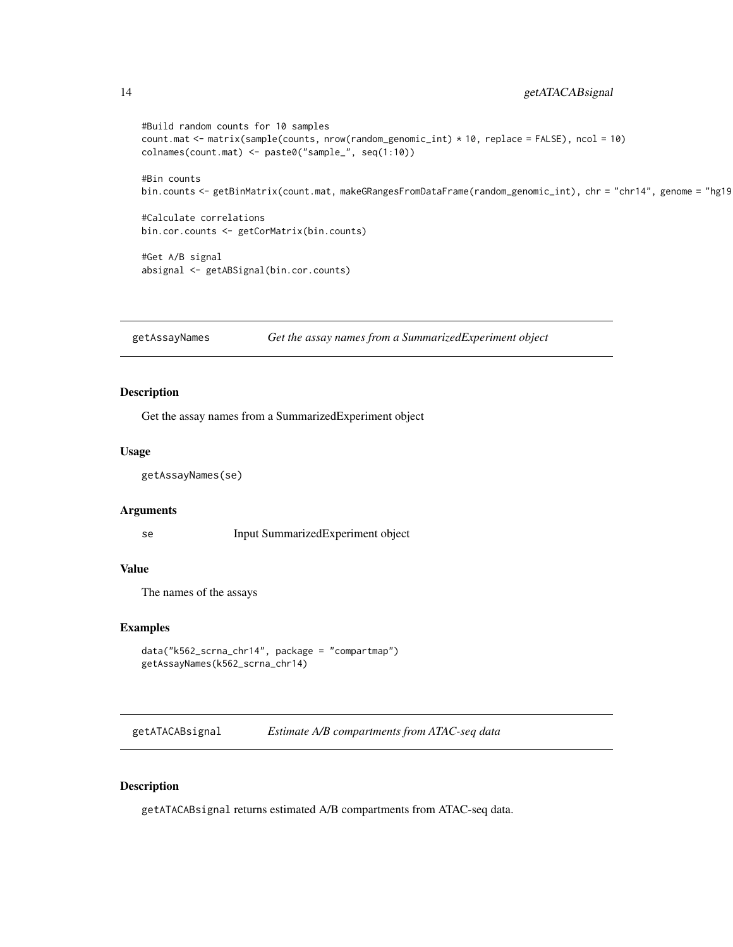```
#Build random counts for 10 samples
count.mat <- matrix(sample(counts, nrow(random_genomic_int) * 10, replace = FALSE), ncol = 10)
colnames(count.mat) <- paste0("sample_", seq(1:10))
#Bin counts
bin.counts <- getBinMatrix(count.mat, makeGRangesFromDataFrame(random_genomic_int), chr = "chr14", genome = "hg19
#Calculate correlations
bin.cor.counts <- getCorMatrix(bin.counts)
#Get A/B signal
absignal <- getABSignal(bin.cor.counts)
```
getAssayNames *Get the assay names from a SummarizedExperiment object*

### Description

Get the assay names from a SummarizedExperiment object

#### Usage

getAssayNames(se)

#### Arguments

se Input SummarizedExperiment object

#### Value

The names of the assays

#### Examples

```
data("k562_scrna_chr14", package = "compartmap")
getAssayNames(k562_scrna_chr14)
```
getATACABsignal *Estimate A/B compartments from ATAC-seq data*

#### Description

getATACABsignal returns estimated A/B compartments from ATAC-seq data.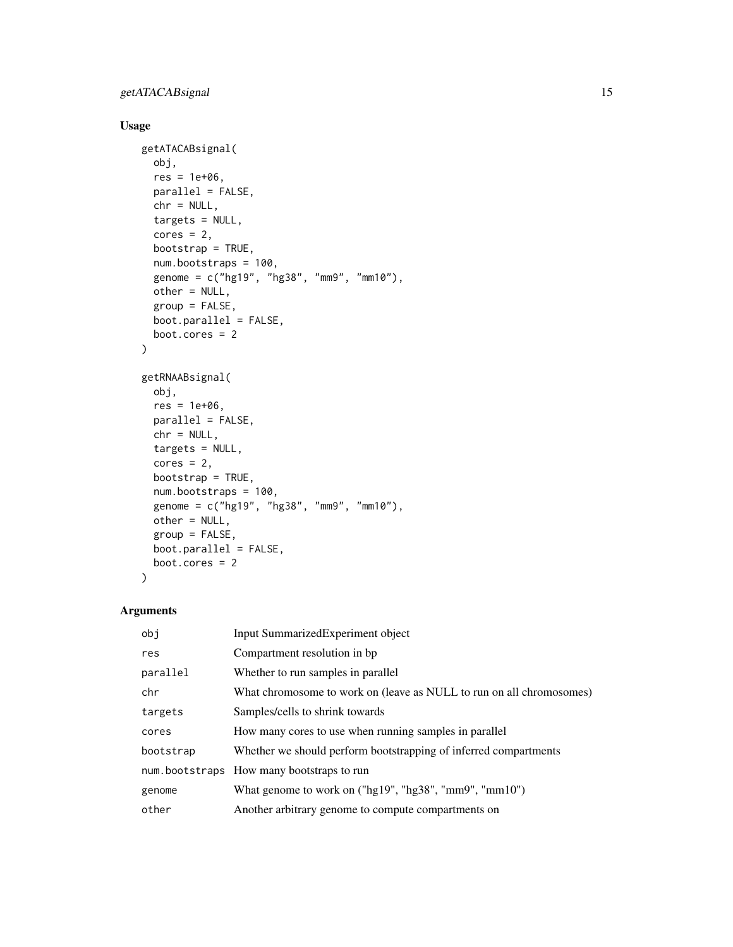### Usage

```
getATACABsignal(
 obj,
 res = 1e+06,
 parallel = FALSE,
 chr = NULL,
  targets = NULL,
  cores = 2,bootstrap = TRUE,
 num.bootstraps = 100,
  genome = c("hg19", "hg38", "mm9", "mm10"),
 other = NULL,
  group = FALSE,boot.parallel = FALSE,
 boot.cores = 2
\mathcal{L}getRNAABsignal(
 obj,
 res = 1e+06,
 parallel = FALSE,
 chr = NULL,
  targets = NULL,
  cores = 2,bootstrap = TRUE,
 num.bootstraps = 100,
  genome = c("hg19", "hg38", "mm9", "mm10"),
 other = NULL,
 group = FALSE,
 boot.parallel = FALSE,
 boot.cores = 2
\mathcal{L}
```
### Arguments

| obj       | Input SummarizedExperiment object                                    |
|-----------|----------------------------------------------------------------------|
| res       | Compartment resolution in bp.                                        |
| parallel  | Whether to run samples in parallel                                   |
| chr       | What chromosome to work on (leave as NULL to run on all chromosomes) |
| targets   | Samples/cells to shrink towards                                      |
| cores     | How many cores to use when running samples in parallel               |
| bootstrap | Whether we should perform bootstrapping of inferred compartments     |
|           | num.bootstraps How many bootstraps to run                            |
| genome    | What genome to work on ("hg19", "hg38", "mm9", "mm10")               |
| other     | Another arbitrary genome to compute compartments on                  |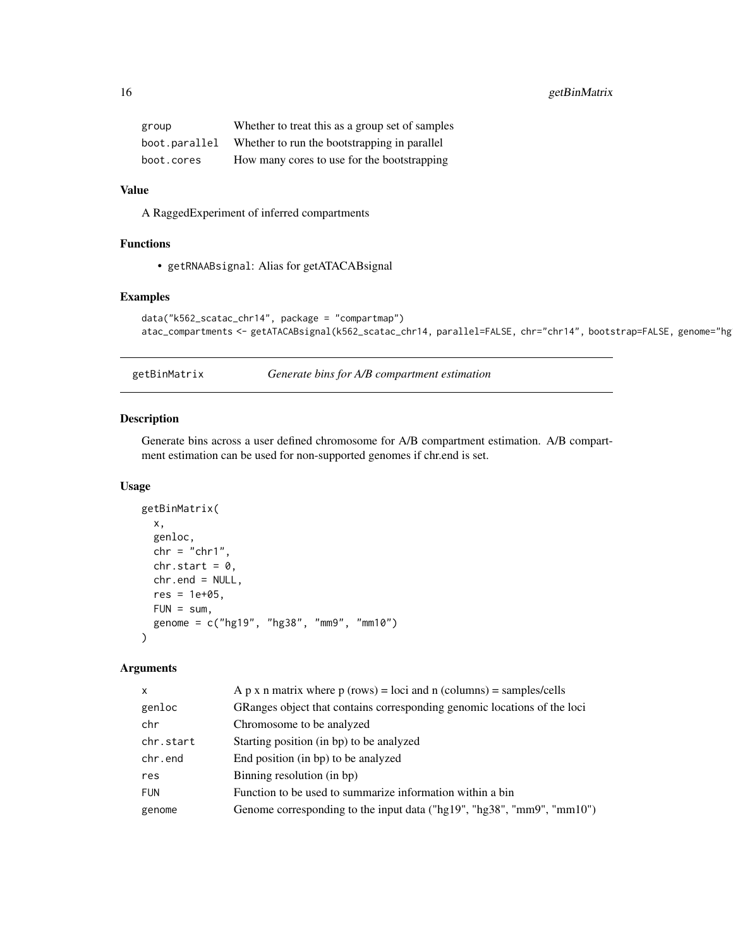<span id="page-15-0"></span>

| group         | Whether to treat this as a group set of samples |
|---------------|-------------------------------------------------|
| boot.parallel | Whether to run the bootstrapping in parallel    |
| boot.cores    | How many cores to use for the bootstrapping     |

### Value

A RaggedExperiment of inferred compartments

### Functions

• getRNAABsignal: Alias for getATACABsignal

### Examples

```
data("k562_scatac_chr14", package = "compartmap")
atac_compartments <- getATACABsignal(k562_scatac_chr14, parallel=FALSE, chr="chr14", bootstrap=FALSE, genome="hg
```
getBinMatrix *Generate bins for A/B compartment estimation*

### Description

Generate bins across a user defined chromosome for A/B compartment estimation. A/B compartment estimation can be used for non-supported genomes if chr.end is set.

#### Usage

```
getBinMatrix(
 x,
 genloc,
 chr = "chr1",chr.start = 0,chr.end = NULL,
 res = 1e+05,
 FUN = sum,
  genome = c("hg19", "hg38", "mm9", "mm10")
)
```
### Arguments

| A p x n matrix where $p$ (rows) = loci and n (columns) = samples/cells   |
|--------------------------------------------------------------------------|
| GRanges object that contains corresponding genomic locations of the loci |
| Chromosome to be analyzed                                                |
| Starting position (in bp) to be analyzed                                 |
| End position (in bp) to be analyzed                                      |
| Binning resolution (in bp)                                               |
| Function to be used to summarize information within a bin                |
| Genome corresponding to the input data ("hg19", "hg38", "mm9", "mm10")   |
|                                                                          |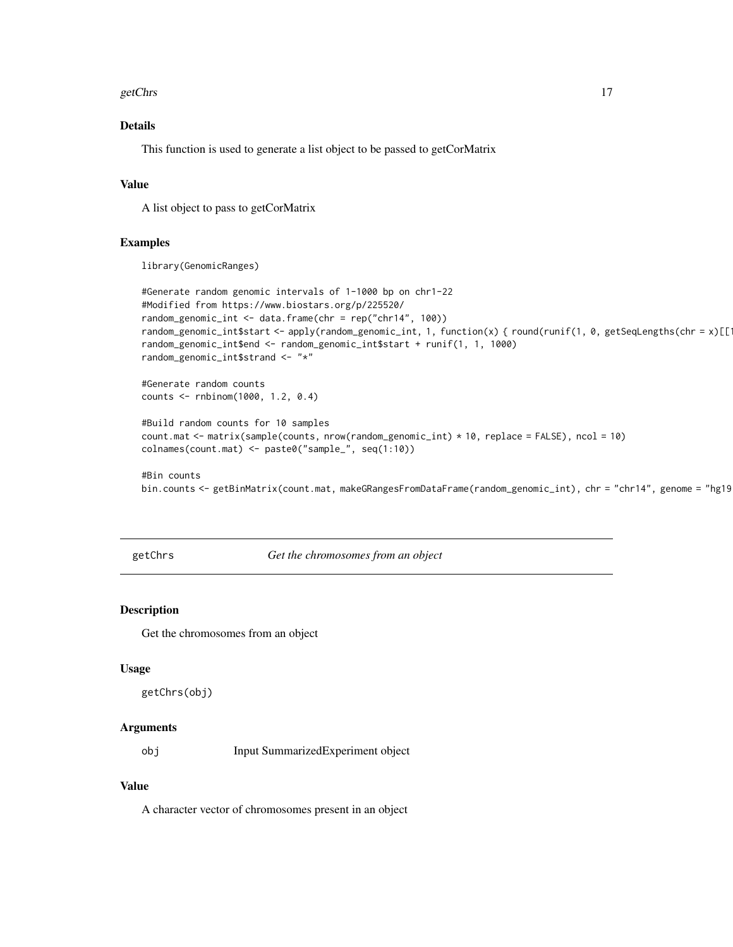#### <span id="page-16-0"></span>getChrs and the set of the set of the set of the set of the set of the set of the set of the set of the set of the set of the set of the set of the set of the set of the set of the set of the set of the set of the set of t

### Details

This function is used to generate a list object to be passed to getCorMatrix

### Value

A list object to pass to getCorMatrix

### Examples

library(GenomicRanges)

```
#Generate random genomic intervals of 1-1000 bp on chr1-22
#Modified from https://www.biostars.org/p/225520/
random_genomic_int <- data.frame(chr = rep("chr14", 100))
random_genomic_int$start <- apply(random_genomic_int, 1, function(x) { round(runif(1, 0, getSeqLengths(chr = x)[[1])
random_genomic_int$end <- random_genomic_int$start + runif(1, 1, 1000)
random_genomic_int$strand <- "*"
#Generate random counts
counts <- rnbinom(1000, 1.2, 0.4)
#Build random counts for 10 samples
count.mat <- matrix(sample(counts, nrow(random_genomic_int) * 10, replace = FALSE), ncol = 10)
colnames(count.mat) <- paste0("sample_", seq(1:10))
#Bin counts
```
bin.counts <- getBinMatrix(count.mat, makeGRangesFromDataFrame(random\_genomic\_int), chr = "chr14", genome = "hg19")

getChrs *Get the chromosomes from an object*

### Description

Get the chromosomes from an object

#### Usage

getChrs(obj)

#### Arguments

obj Input SummarizedExperiment object

#### Value

A character vector of chromosomes present in an object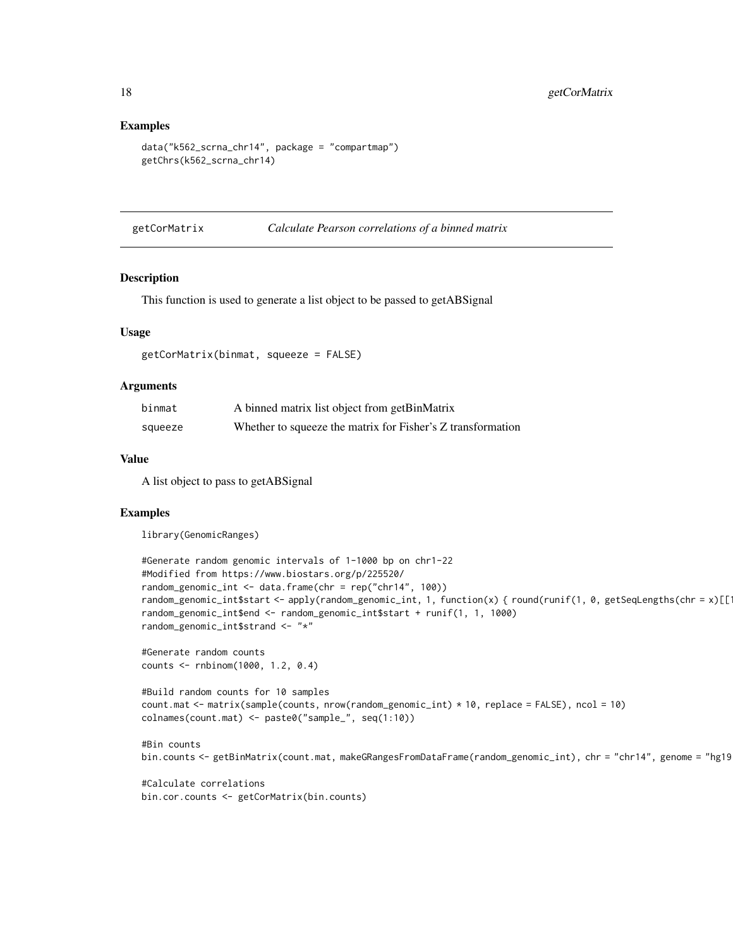#### Examples

```
data("k562_scrna_chr14", package = "compartmap")
getChrs(k562_scrna_chr14)
```
getCorMatrix *Calculate Pearson correlations of a binned matrix*

#### Description

This function is used to generate a list object to be passed to getABSignal

#### Usage

```
getCorMatrix(binmat, squeeze = FALSE)
```
#### Arguments

| binmat  | A binned matrix list object from getBinMatrix               |
|---------|-------------------------------------------------------------|
| squeeze | Whether to squeeze the matrix for Fisher's Z transformation |

#### Value

A list object to pass to getABSignal

### Examples

library(GenomicRanges)

```
#Generate random genomic intervals of 1-1000 bp on chr1-22
#Modified from https://www.biostars.org/p/225520/
random_genomic_int <- data.frame(chr = rep("chr14", 100))
random_genomic_int$start <- apply(random_genomic_int, 1, function(x) { round(runif(1, 0, getSeqLengths(chr = x)[[1])
random_genomic_int$end <- random_genomic_int$start + runif(1, 1, 1000)
random_genomic_int$strand <- "*"
#Generate random counts
counts <- rnbinom(1000, 1.2, 0.4)
```

```
#Build random counts for 10 samples
count.mat <- matrix(sample(counts, nrow(random_genomic_int) * 10, replace = FALSE), ncol = 10)
colnames(count.mat) <- paste0("sample_", seq(1:10))
```

```
#Bin counts
bin.counts <- getBinMatrix(count.mat, makeGRangesFromDataFrame(random_genomic_int), chr = "chr14", genome = "hg19
```
#Calculate correlations bin.cor.counts <- getCorMatrix(bin.counts)

<span id="page-17-0"></span>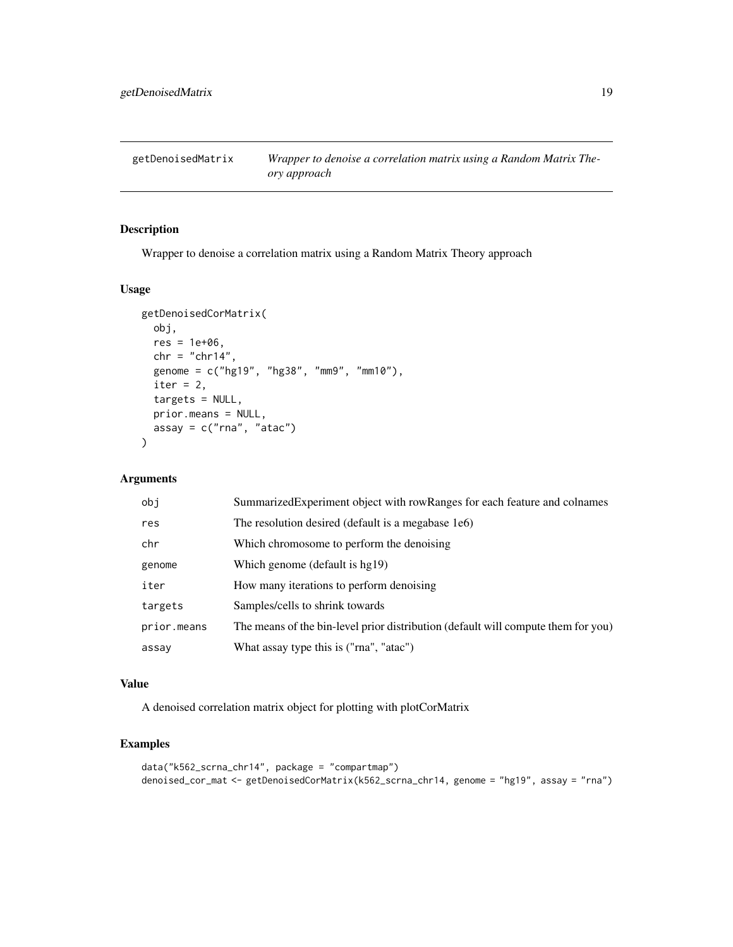<span id="page-18-0"></span>getDenoisedMatrix *Wrapper to denoise a correlation matrix using a Random Matrix Theory approach*

### Description

Wrapper to denoise a correlation matrix using a Random Matrix Theory approach

### Usage

```
getDenoisedCorMatrix(
 obj,
  res = 1e+06,
  chr = "chr14",genome = c("hg19", "hg38", "mm9", "mm10"),
  iter = 2,
  targets = NULL,
 prior.means = NULL,
 assay = c("rna", "atac")\lambda
```
#### Arguments

| obi         | Summarized Experiment object with row Ranges for each feature and colnames        |
|-------------|-----------------------------------------------------------------------------------|
| res         | The resolution desired (default is a megabase 1e6)                                |
| chr         | Which chromosome to perform the denoising                                         |
| genome      | Which genome (default is hg19)                                                    |
| iter        | How many iterations to perform denoising                                          |
| targets     | Samples/cells to shrink towards                                                   |
| prior.means | The means of the bin-level prior distribution (default will compute them for you) |
| assay       | What assay type this is ("rna", "atac")                                           |
|             |                                                                                   |

### Value

A denoised correlation matrix object for plotting with plotCorMatrix

```
data("k562_scrna_chr14", package = "compartmap")
denoised_cor_mat <- getDenoisedCorMatrix(k562_scrna_chr14, genome = "hg19", assay = "rna")
```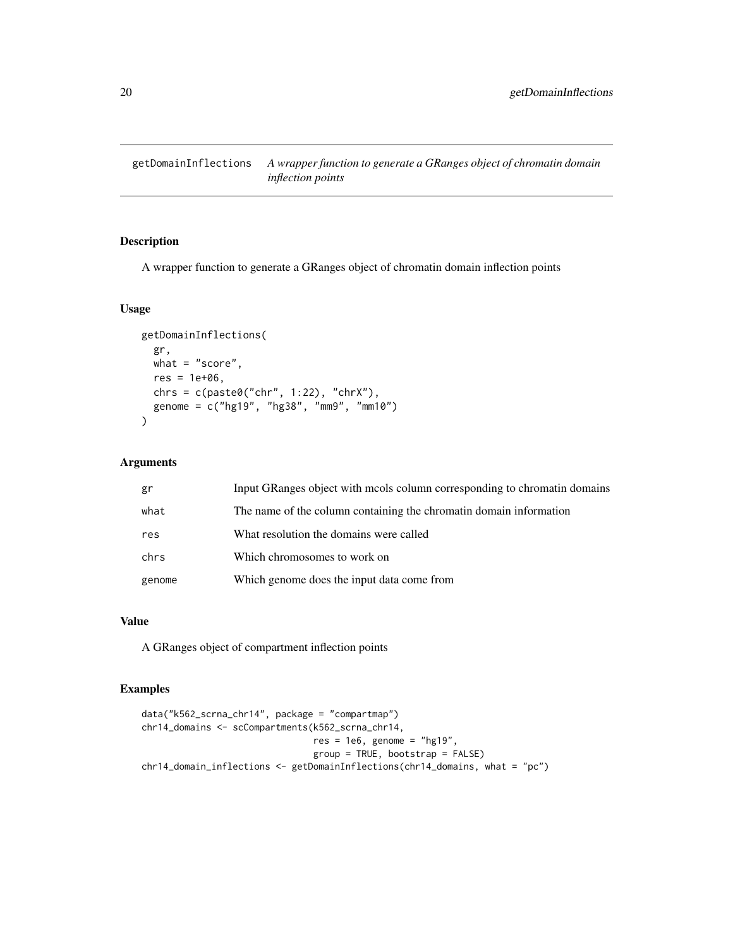<span id="page-19-0"></span>getDomainInflections *A wrapper function to generate a GRanges object of chromatin domain inflection points*

### Description

A wrapper function to generate a GRanges object of chromatin domain inflection points

### Usage

```
getDomainInflections(
  gr,
 what = "score",res = 1e+06,
 chrs = c(paste0("chr", 1:22), "chrX"),
  genome = c("hg19", "hg38", "mm9", "mm10")
\mathcal{L}
```
### Arguments

| gr     | Input GRanges object with mools column corresponding to chromatin domains |
|--------|---------------------------------------------------------------------------|
| what   | The name of the column containing the chromatin domain information        |
| res    | What resolution the domains were called                                   |
| chrs   | Which chromosomes to work on                                              |
| genome | Which genome does the input data come from                                |

#### Value

A GRanges object of compartment inflection points

```
data("k562_scrna_chr14", package = "compartmap")
chr14_domains <- scCompartments(k562_scrna_chr14,
                                res = 1e6, genome = "hg19",
                                group = TRUE, bootstrap = FALSE)
chr14_domain_inflections <- getDomainInflections(chr14_domains, what = "pc")
```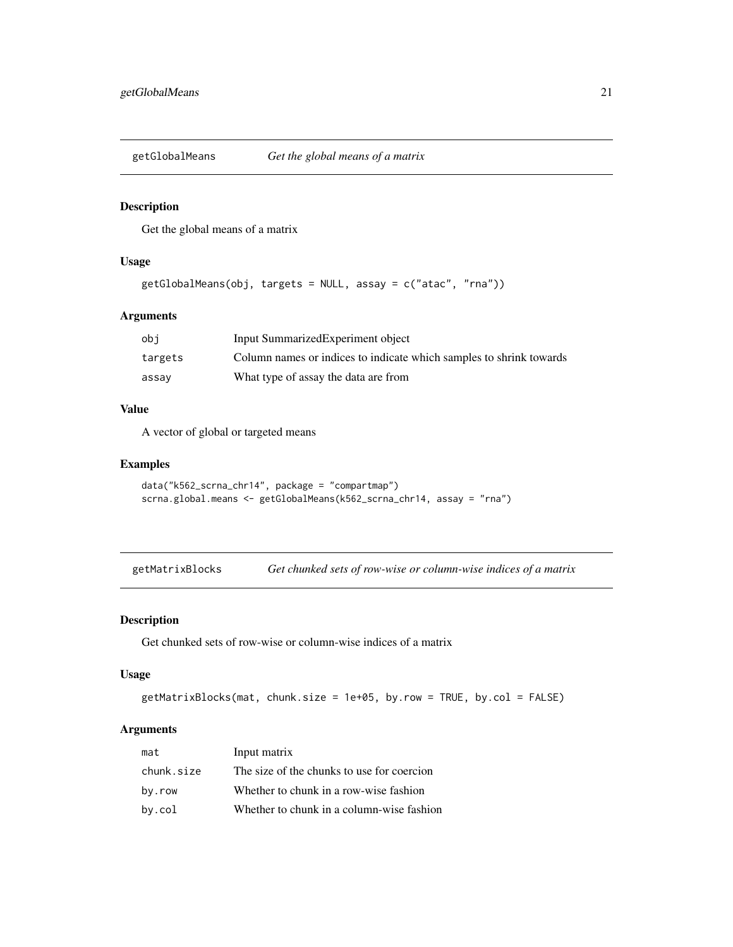<span id="page-20-0"></span>

Get the global means of a matrix

#### Usage

```
getGlobalMeans(obj, targets = NULL, assay = c("atac", "rna"))
```
### Arguments

| obi     | Input SummarizedExperiment object                                   |
|---------|---------------------------------------------------------------------|
| targets | Column names or indices to indicate which samples to shrink towards |
| assav   | What type of assay the data are from                                |

### Value

A vector of global or targeted means

#### Examples

```
data("k562_scrna_chr14", package = "compartmap")
scrna.global.means <- getGlobalMeans(k562_scrna_chr14, assay = "rna")
```
getMatrixBlocks *Get chunked sets of row-wise or column-wise indices of a matrix*

#### Description

Get chunked sets of row-wise or column-wise indices of a matrix

#### Usage

```
getMatrixBlocks(mat, chunk.size = 1e+05, by.row = TRUE, by.col = FALSE)
```
### Arguments

| mat        | Input matrix                               |
|------------|--------------------------------------------|
| chunk.size | The size of the chunks to use for coercion |
| by.row     | Whether to chunk in a row-wise fashion     |
| by.col     | Whether to chunk in a column-wise fashion  |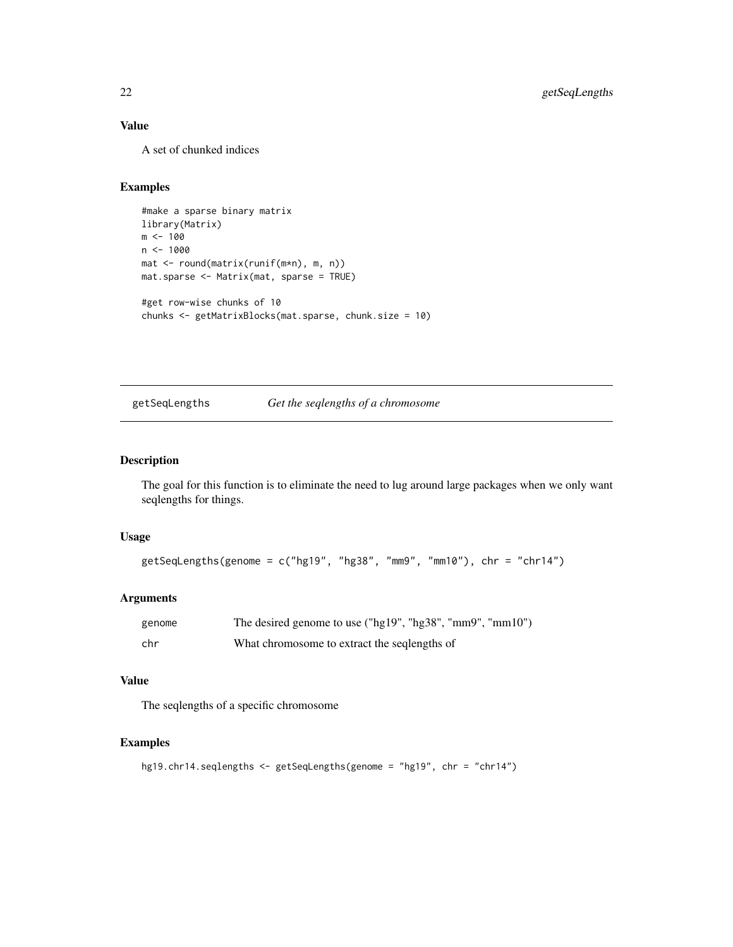### Value

A set of chunked indices

### Examples

```
#make a sparse binary matrix
library(Matrix)
m < - 100n < -1000mat <- round(matrix(runif(m*n), m, n))
mat.sparse <- Matrix(mat, sparse = TRUE)
#get row-wise chunks of 10
chunks <- getMatrixBlocks(mat.sparse, chunk.size = 10)
```
#### getSeqLengths *Get the seqlengths of a chromosome*

### Description

The goal for this function is to eliminate the need to lug around large packages when we only want seqlengths for things.

#### Usage

```
getSeqLengths(genome = c("hg19", "hg38", "mm9", "mm10"), chr = "chr14")
```
### Arguments

| genome | The desired genome to use ("hg19", "hg38", "mm9", "mm10") |
|--------|-----------------------------------------------------------|
| chr    | What chromosome to extract the seqlengths of              |

#### Value

The seqlengths of a specific chromosome

```
hg19.chr14.seqlengths <- getSeqLengths(genome = "hg19", chr = "chr14")
```
<span id="page-21-0"></span>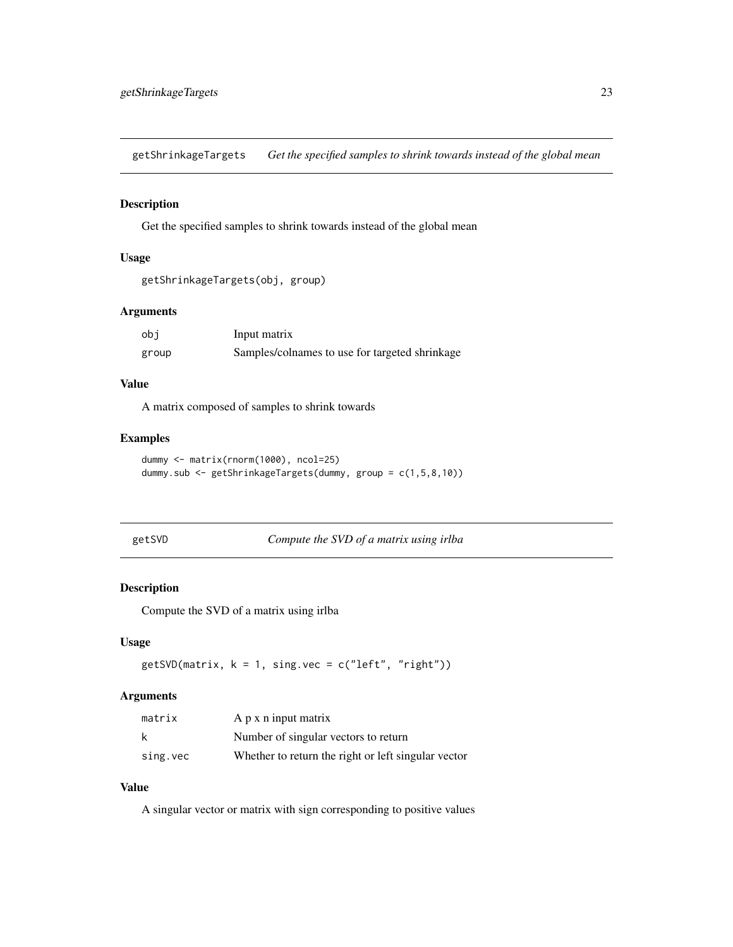<span id="page-22-0"></span>getShrinkageTargets *Get the specified samples to shrink towards instead of the global mean*

### Description

Get the specified samples to shrink towards instead of the global mean

#### Usage

```
getShrinkageTargets(obj, group)
```
### Arguments

| obi   | Input matrix                                   |
|-------|------------------------------------------------|
| group | Samples/colnames to use for targeted shrinkage |

### Value

A matrix composed of samples to shrink towards

#### Examples

```
dummy <- matrix(rnorm(1000), ncol=25)
dummy.sub <- getShrinkageTargets(dummy, group = c(1,5,8,10))
```
getSVD *Compute the SVD of a matrix using irlba*

#### Description

Compute the SVD of a matrix using irlba

#### Usage

 $getsVD(matrix, k = 1, single, vec = c("left", "right"))$ 

#### Arguments

| matrix   | A p x n input matrix                                |
|----------|-----------------------------------------------------|
| k        | Number of singular vectors to return                |
| sing.vec | Whether to return the right or left singular vector |

### Value

A singular vector or matrix with sign corresponding to positive values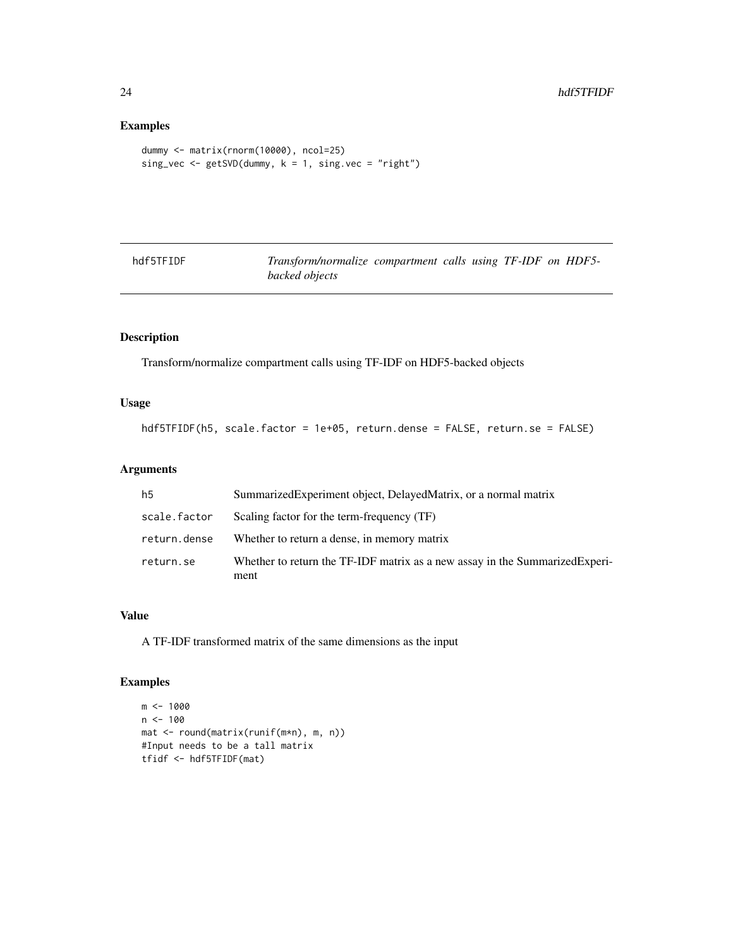### Examples

```
dummy <- matrix(rnorm(10000), ncol=25)
sing_vec <- getSVD(dummy, k = 1, sing.vec = "right")
```

| hdf5TFIDF | Transform/normalize compartment calls using TF-IDF on HDF5- |  |  |  |
|-----------|-------------------------------------------------------------|--|--|--|
|           | backed objects                                              |  |  |  |

### Description

Transform/normalize compartment calls using TF-IDF on HDF5-backed objects

### Usage

```
hdf5TFIDF(h5, scale.factor = 1e+05, return.dense = FALSE, return.se = FALSE)
```
### Arguments

| h5           | Summarized Experiment object, Delayed Matrix, or a normal matrix                     |
|--------------|--------------------------------------------------------------------------------------|
| scale.factor | Scaling factor for the term-frequency (TF)                                           |
| return.dense | Whether to return a dense, in memory matrix                                          |
| return.se    | Whether to return the TF-IDF matrix as a new assay in the Summarized Experi-<br>ment |

### Value

A TF-IDF transformed matrix of the same dimensions as the input

```
m <- 1000
n < -100mat <- round(matrix(runif(m*n), m, n))
#Input needs to be a tall matrix
tfidf <- hdf5TFIDF(mat)
```
<span id="page-23-0"></span>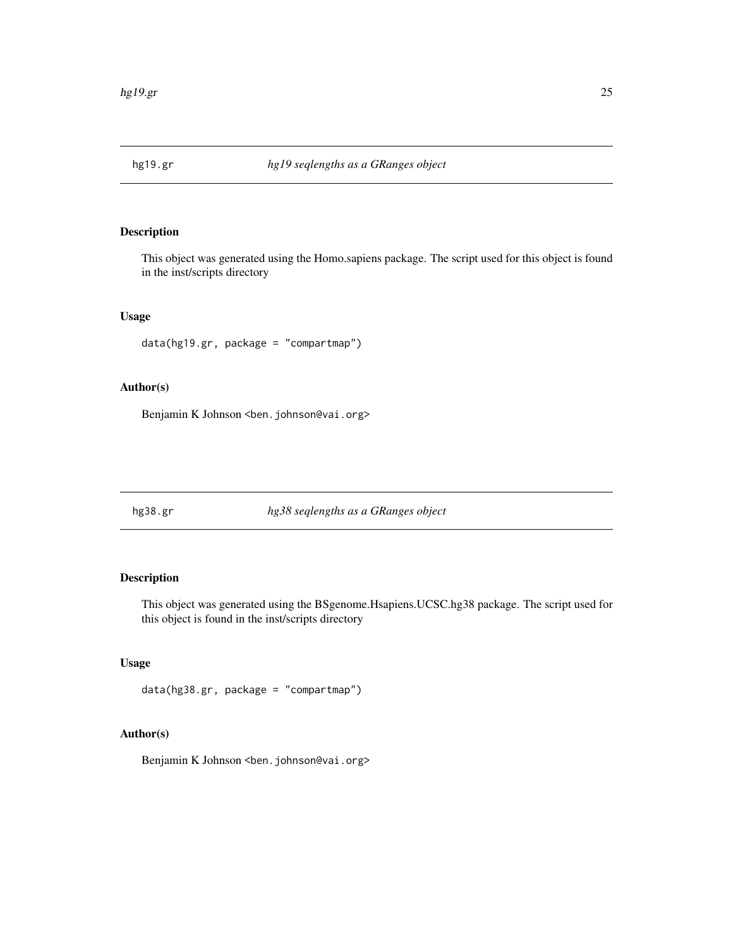<span id="page-24-0"></span>

This object was generated using the Homo.sapiens package. The script used for this object is found in the inst/scripts directory

### Usage

data(hg19.gr, package = "compartmap")

### Author(s)

Benjamin K Johnson <br/>ben.johnson@vai.org>

hg38.gr *hg38 seqlengths as a GRanges object*

### Description

This object was generated using the BSgenome.Hsapiens.UCSC.hg38 package. The script used for this object is found in the inst/scripts directory

### Usage

data(hg38.gr, package = "compartmap")

### Author(s)

Benjamin K Johnson <br/>ben.johnson@vai.org>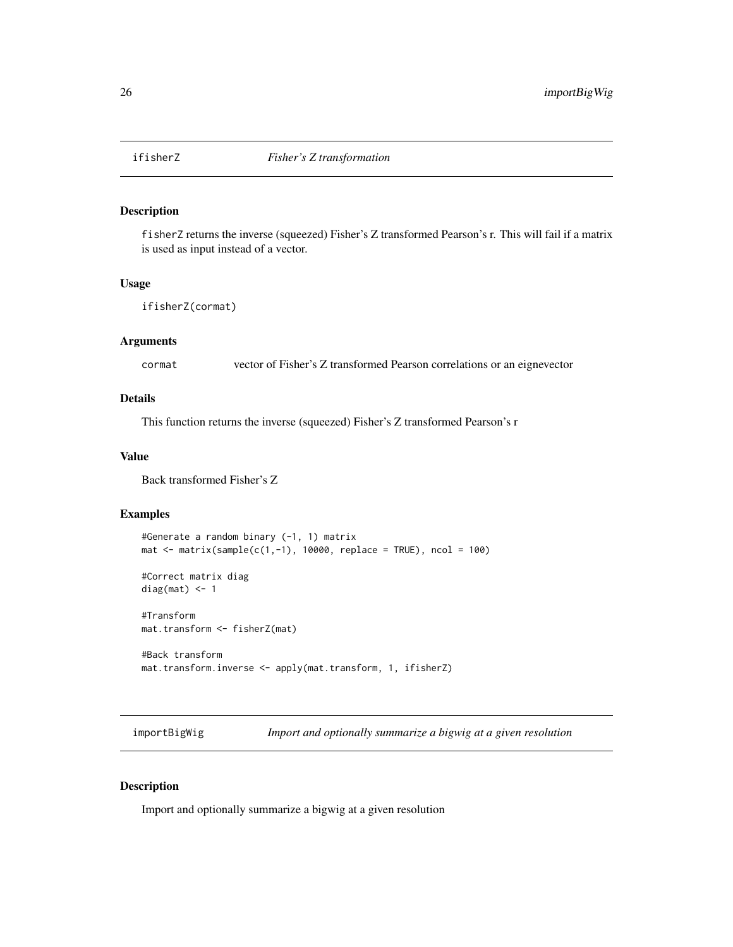<span id="page-25-0"></span>

fisherZ returns the inverse (squeezed) Fisher's Z transformed Pearson's r. This will fail if a matrix is used as input instead of a vector.

### Usage

```
ifisherZ(cormat)
```
### Arguments

cormat vector of Fisher's Z transformed Pearson correlations or an eignevector

### Details

This function returns the inverse (squeezed) Fisher's Z transformed Pearson's r

#### Value

Back transformed Fisher's Z

### Examples

```
#Generate a random binary (-1, 1) matrix
mat \le matrix(sample(c(1,-1), 10000, replace = TRUE), ncol = 100)
```
#Correct matrix diag diag(mat)  $<-1$ 

#Transform mat.transform <- fisherZ(mat)

```
#Back transform
mat.transform.inverse <- apply(mat.transform, 1, ifisherZ)
```
importBigWig *Import and optionally summarize a bigwig at a given resolution*

#### Description

Import and optionally summarize a bigwig at a given resolution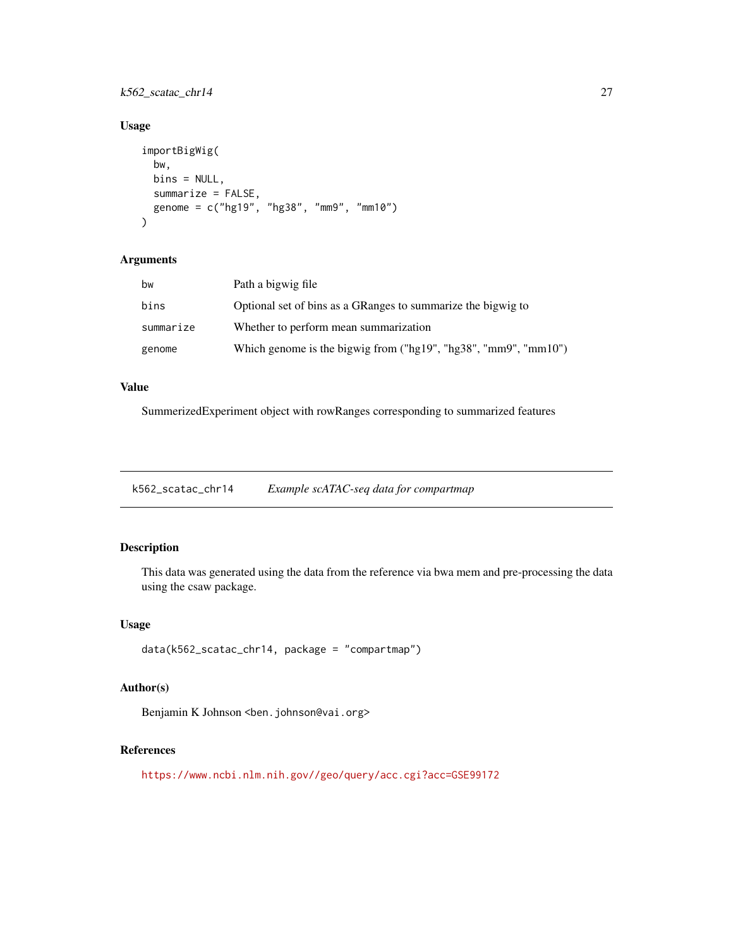<span id="page-26-0"></span>k562\_scatac\_chr14 27

### Usage

```
importBigWig(
 bw,
 bins = NULL,
 summarize = FALSE,
 genome = c("hg19", "hg38", "mm9", "mm10")
)
```
### Arguments

| bw        | Path a bigwig file                                              |
|-----------|-----------------------------------------------------------------|
| bins      | Optional set of bins as a GRanges to summarize the bigwig to    |
| summarize | Whether to perform mean summarization                           |
| genome    | Which genome is the bigwig from ("hg19", "hg38", "mm9", "mm10") |

### Value

SummerizedExperiment object with rowRanges corresponding to summarized features

k562\_scatac\_chr14 *Example scATAC-seq data for compartmap*

### Description

This data was generated using the data from the reference via bwa mem and pre-processing the data using the csaw package.

### Usage

data(k562\_scatac\_chr14, package = "compartmap")

### Author(s)

Benjamin K Johnson <br/>ben.johnson@vai.org>

### References

<https://www.ncbi.nlm.nih.gov//geo/query/acc.cgi?acc=GSE99172>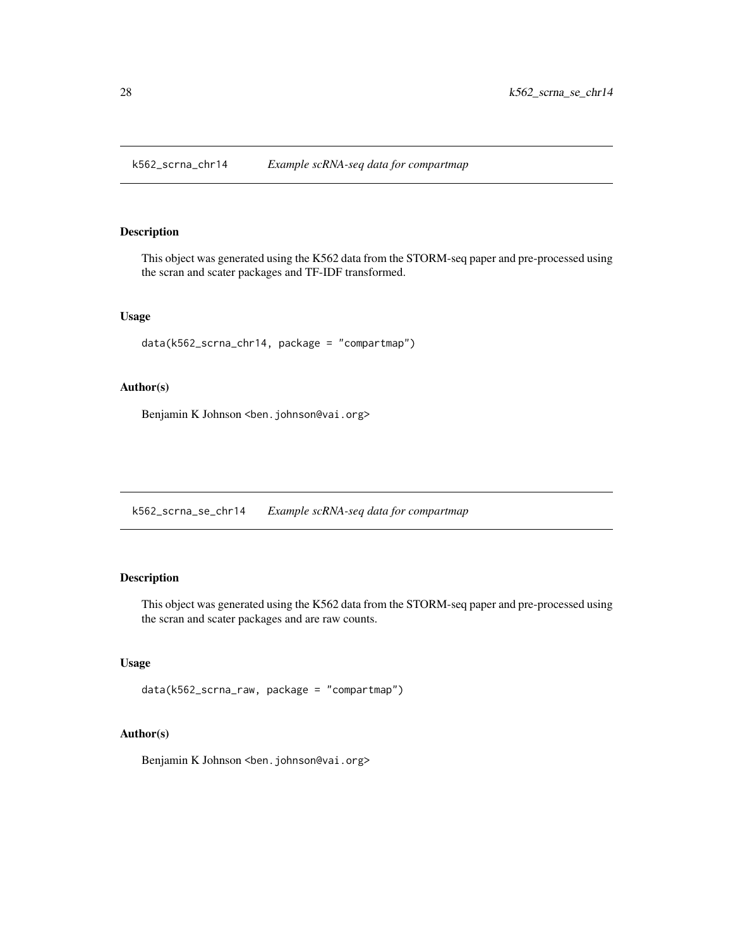<span id="page-27-0"></span>k562\_scrna\_chr14 *Example scRNA-seq data for compartmap*

### Description

This object was generated using the K562 data from the STORM-seq paper and pre-processed using the scran and scater packages and TF-IDF transformed.

### Usage

data(k562\_scrna\_chr14, package = "compartmap")

### Author(s)

Benjamin K Johnson <br/>ben.johnson@vai.org>

k562\_scrna\_se\_chr14 *Example scRNA-seq data for compartmap*

### Description

This object was generated using the K562 data from the STORM-seq paper and pre-processed using the scran and scater packages and are raw counts.

### Usage

```
data(k562_scrna_raw, package = "compartmap")
```
### Author(s)

Benjamin K Johnson <br/>ben.johnson@vai.org>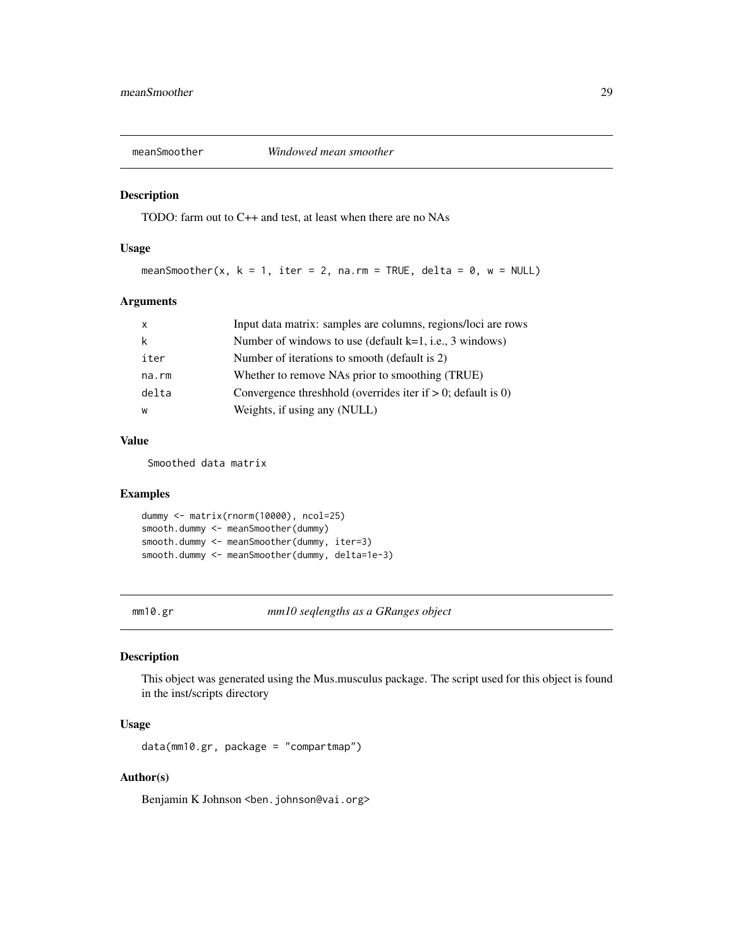<span id="page-28-0"></span>

TODO: farm out to C++ and test, at least when there are no NAs

#### Usage

```
meanSmoother(x, k = 1, iter = 2, na.rm = TRUE, delta = 0, w = NULL)
```
### Arguments

| $\mathsf{x}$ | Input data matrix: samples are columns, regions/loci are rows  |
|--------------|----------------------------------------------------------------|
| k            | Number of windows to use (default $k=1$ , i.e., 3 windows)     |
| iter         | Number of iterations to smooth (default is 2)                  |
| na.rm        | Whether to remove NAs prior to smoothing (TRUE)                |
| delta        | Convergence threshold (overrides iter if $> 0$ ; default is 0) |
| W            | Weights, if using any (NULL)                                   |

### Value

Smoothed data matrix

#### Examples

```
dummy <- matrix(rnorm(10000), ncol=25)
smooth.dummy <- meanSmoother(dummy)
smooth.dummy <- meanSmoother(dummy, iter=3)
smooth.dummy <- meanSmoother(dummy, delta=1e-3)
```
mm10.gr *mm10 seqlengths as a GRanges object*

### Description

This object was generated using the Mus.musculus package. The script used for this object is found in the inst/scripts directory

### Usage

```
data(mm10.gr, package = "compartmap")
```
### Author(s)

Benjamin K Johnson <br/>ben.johnson@vai.org>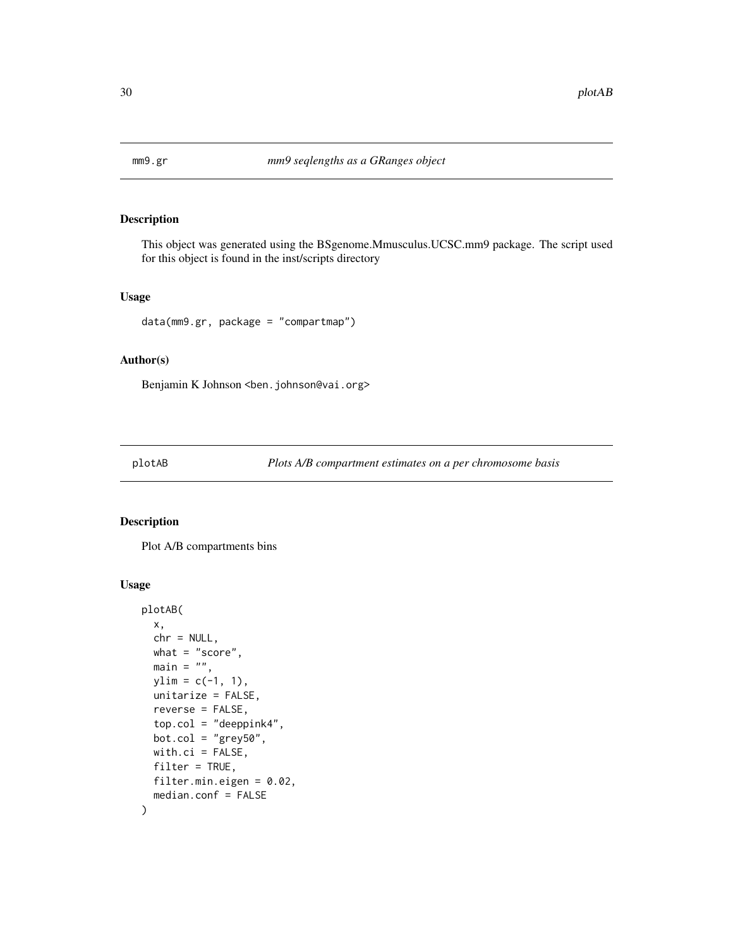<span id="page-29-0"></span>

This object was generated using the BSgenome.Mmusculus.UCSC.mm9 package. The script used for this object is found in the inst/scripts directory

#### Usage

data(mm9.gr, package = "compartmap")

#### Author(s)

Benjamin K Johnson <br/>ben.johnson@vai.org>

plotAB *Plots A/B compartment estimates on a per chromosome basis*

#### Description

Plot A/B compartments bins

```
plotAB(
  x,
 chr = NULL,
 what = "score",
 main = "",ylim = c(-1, 1),unitarize = FALSE,
  reverse = FALSE,
  top.col = "deeppink4",
 bot.col = "grey50",
 with.ci = FALSE,filter = TRUE,
 filter.min.eigen = 0.02,
 median.conf = FALSE
)
```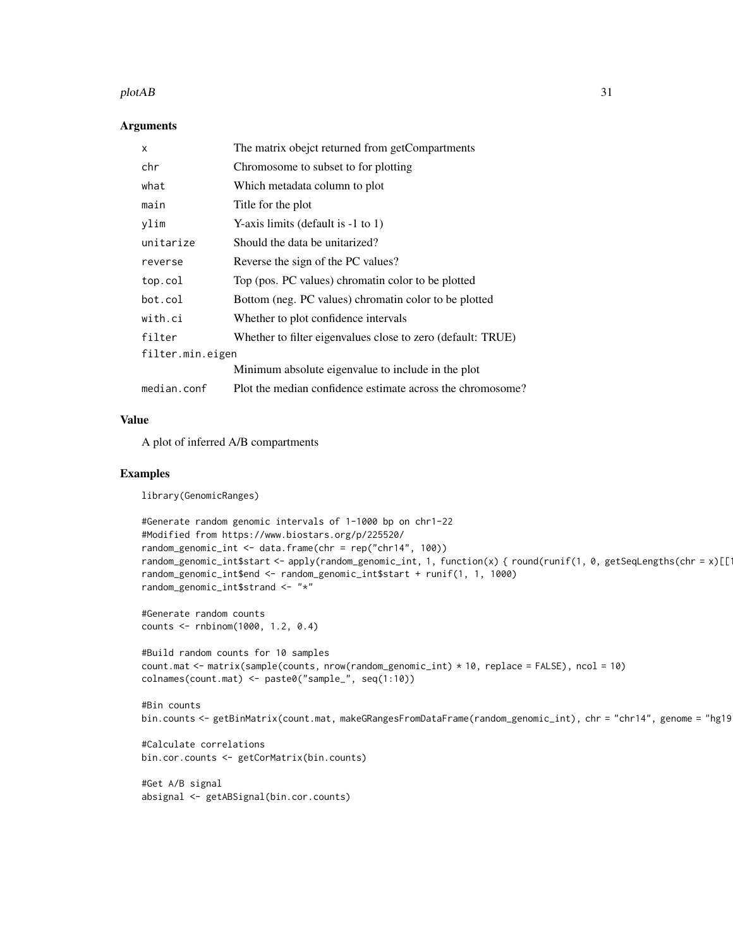#### plotAB 31

#### **Arguments**

| X                | The matrix obejct returned from getCompartments             |
|------------------|-------------------------------------------------------------|
| chr              | Chromosome to subset to for plotting                        |
| what             | Which metadata column to plot                               |
| main             | Title for the plot                                          |
| ylim             | Y-axis limits (default is $-1$ to 1)                        |
| unitarize        | Should the data be unitarized?                              |
| reverse          | Reverse the sign of the PC values?                          |
| top.col          | Top (pos. PC values) chromatin color to be plotted          |
| bot.col          | Bottom (neg. PC values) chromatin color to be plotted       |
| with.ci          | Whether to plot confidence intervals                        |
| filter           | Whether to filter eigenvalues close to zero (default: TRUE) |
| filter.min.eigen |                                                             |
|                  | Minimum absolute eigenvalue to include in the plot          |
| median.conf      | Plot the median confidence estimate across the chromosome?  |

#### Value

A plot of inferred A/B compartments

### Examples

library(GenomicRanges)

```
#Generate random genomic intervals of 1-1000 bp on chr1-22
#Modified from https://www.biostars.org/p/225520/
random_genomic_int <- data.frame(chr = rep("chr14", 100))
random_genomic_int$start <- apply(random_genomic_int, 1, function(x) { round(runif(1, 0, getSeqLengths(chr = x)[[1])
random_genomic_int$end <- random_genomic_int$start + runif(1, 1, 1000)
random_genomic_int$strand <- "*"
```
#Generate random counts counts <- rnbinom(1000, 1.2, 0.4)

```
#Build random counts for 10 samples
count.mat <- matrix(sample(counts, nrow(random_genomic_int) * 10, replace = FALSE), ncol = 10)
colnames(count.mat) <- paste0("sample_", seq(1:10))
```

```
#Bin counts
bin.counts <- getBinMatrix(count.mat, makeGRangesFromDataFrame(random_genomic_int), chr = "chr14", genome = "hg19")
```

```
#Calculate correlations
bin.cor.counts <- getCorMatrix(bin.counts)
```

```
#Get A/B signal
absignal <- getABSignal(bin.cor.counts)
```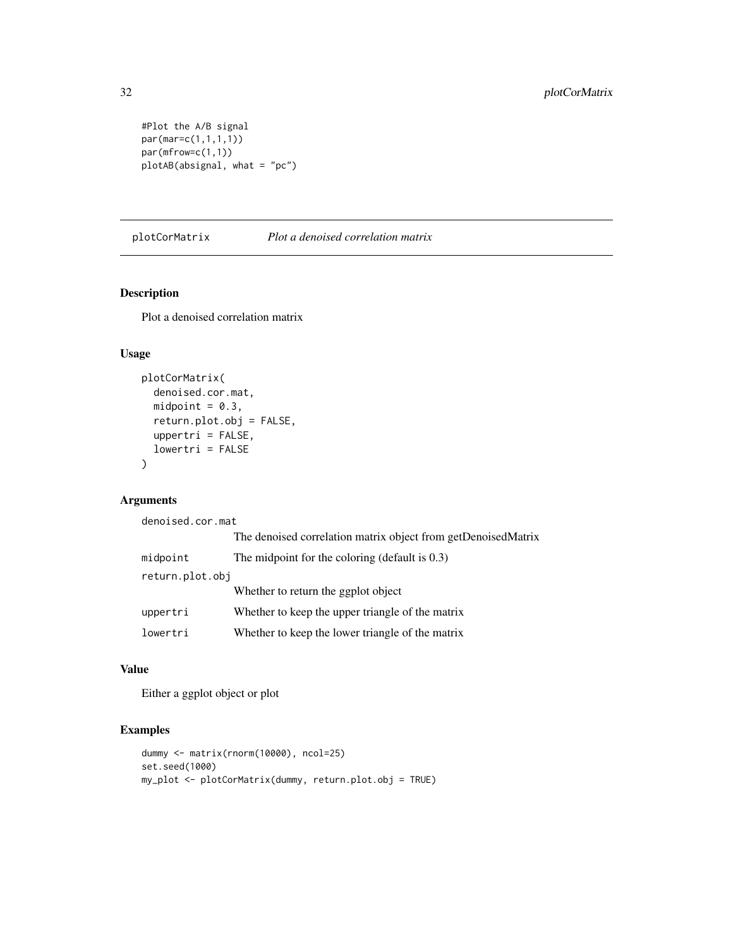```
#Plot the A/B signal
par(mar=c(1,1,1,1))
par(mfrow=c(1,1))
plotAB(absignal, what = "pc")
```
plotCorMatrix *Plot a denoised correlation matrix*

### Description

Plot a denoised correlation matrix

### Usage

```
plotCorMatrix(
  denoised.cor.mat,
 midpoint = 0.3,
  return.plot.obj = FALSE,
  uppertri = FALSE,lowertri = FALSE
\lambda
```
### Arguments

| denoised.cor.mat |                                                               |
|------------------|---------------------------------------------------------------|
|                  | The denoised correlation matrix object from getDenoisedMatrix |
| midpoint         | The midpoint for the coloring (default is $0.3$ )             |
| return.plot.obj  |                                                               |
|                  | Whether to return the ggplot object                           |
| uppertri         | Whether to keep the upper triangle of the matrix              |
| lowertri         | Whether to keep the lower triangle of the matrix              |

#### Value

Either a ggplot object or plot

```
dummy <- matrix(rnorm(10000), ncol=25)
set.seed(1000)
my_plot <- plotCorMatrix(dummy, return.plot.obj = TRUE)
```
<span id="page-31-0"></span>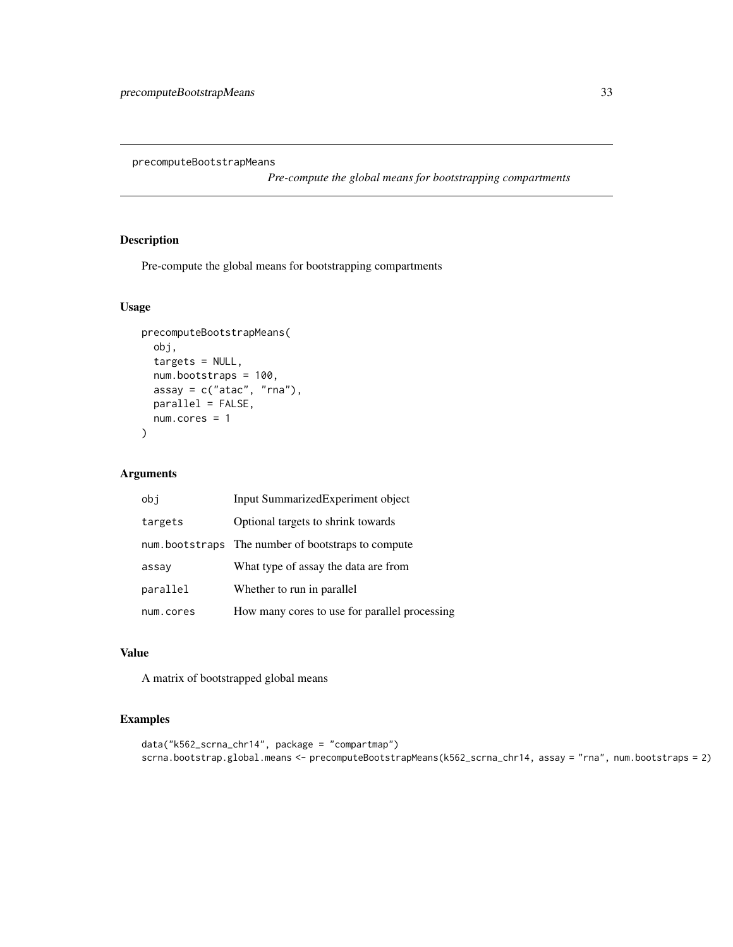<span id="page-32-0"></span>precomputeBootstrapMeans

*Pre-compute the global means for bootstrapping compartments*

### Description

Pre-compute the global means for bootstrapping compartments

### Usage

```
precomputeBootstrapMeans(
 obj,
 targets = NULL,
 num.bootstraps = 100,
 assay = c("atac", "rna"),parallel = FALSE,
 num.cores = 1
)
```
### Arguments

| obj       | Input SummarizedExperiment object                  |
|-----------|----------------------------------------------------|
| targets   | Optional targets to shrink towards                 |
|           | num.bootstraps The number of bootstraps to compute |
| assay     | What type of assay the data are from               |
| parallel  | Whether to run in parallel                         |
| num.cores | How many cores to use for parallel processing      |

### Value

A matrix of bootstrapped global means

```
data("k562_scrna_chr14", package = "compartmap")
scrna.bootstrap.global.means <- precomputeBootstrapMeans(k562_scrna_chr14, assay = "rna", num.bootstraps = 2)
```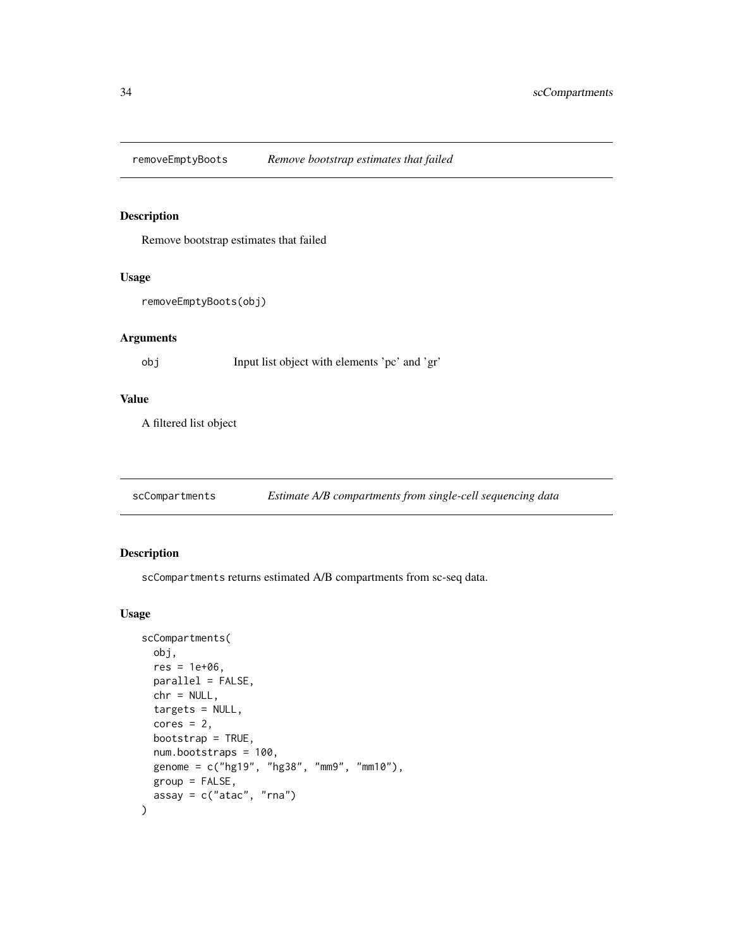<span id="page-33-0"></span>removeEmptyBoots *Remove bootstrap estimates that failed*

### Description

Remove bootstrap estimates that failed

#### Usage

```
removeEmptyBoots(obj)
```
### Arguments

```
obj Input list object with elements 'pc' and 'gr'
```
### Value

A filtered list object

scCompartments *Estimate A/B compartments from single-cell sequencing data*

### Description

scCompartments returns estimated A/B compartments from sc-seq data.

```
scCompartments(
  obj,
  res = 1e+06,
  parallel = FALSE,
  chr = NULL,
  targets = NULL,
  cores = 2,bootstrap = TRUE,
 num.bootstraps = 100,
  genome = c("hg19", "hg38", "mm9", "mm10"),
 group = FALSE,
  assay = c("atac", "rna")\mathcal{E}
```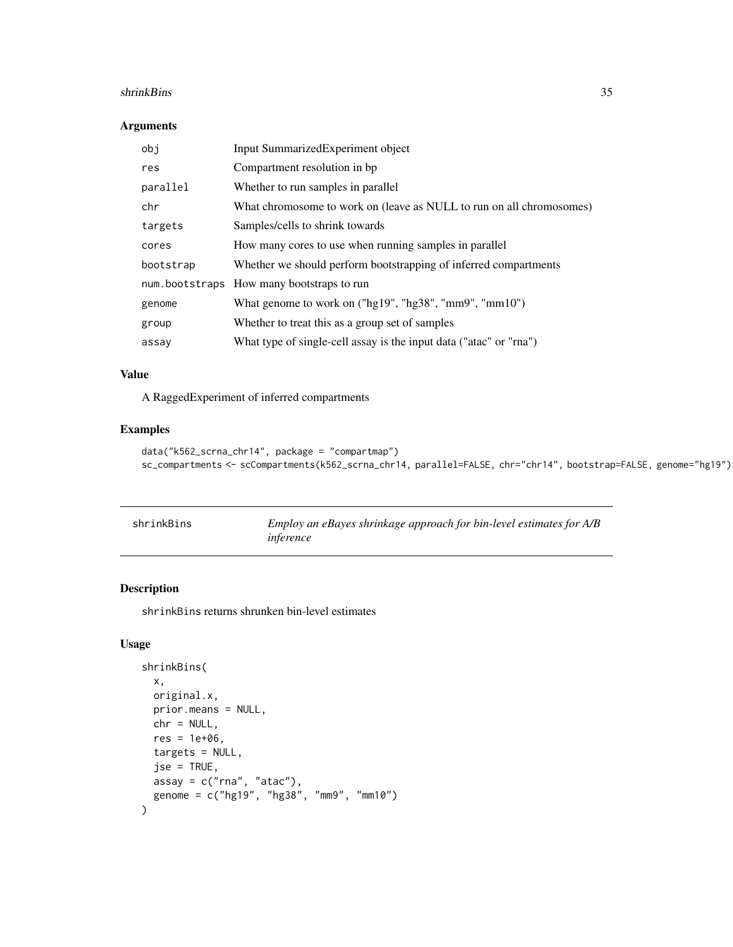#### <span id="page-34-0"></span>shrinkBins 35

#### Arguments

| obj       | Input SummarizedExperiment object                                    |
|-----------|----------------------------------------------------------------------|
| res       | Compartment resolution in bp.                                        |
| parallel  | Whether to run samples in parallel                                   |
| chr       | What chromosome to work on (leave as NULL to run on all chromosomes) |
| targets   | Samples/cells to shrink towards                                      |
| cores     | How many cores to use when running samples in parallel               |
| bootstrap | Whether we should perform bootstrapping of inferred compartments     |
|           | num.bootstraps How many bootstraps to run                            |
| genome    | What genome to work on ("hg19", "hg38", "mm9", "mm10")               |
| group     | Whether to treat this as a group set of samples                      |
| assay     | What type of single-cell assay is the input data ("atac" or "rna")   |

### Value

A RaggedExperiment of inferred compartments

### Examples

```
data("k562_scrna_chr14", package = "compartmap")
sc_compartments <- scCompartments(k562_scrna_chr14, parallel=FALSE, chr="chr14", bootstrap=FALSE, genome="hg19")
```

| shrinkBins | Employ an eBayes shrinkage approach for bin-level estimates for A/B |
|------------|---------------------------------------------------------------------|
|            | inference                                                           |

### Description

shrinkBins returns shrunken bin-level estimates

```
shrinkBins(
 x,
 original.x,
 prior.means = NULL,
 chr = NULL,
 res = 1e+06,
 targets = NULL,
  jse = TRUE,
 assay = c("rna", "atac"),genome = c("hg19", "hg38", "mm9", "mm10")
\mathcal{L}
```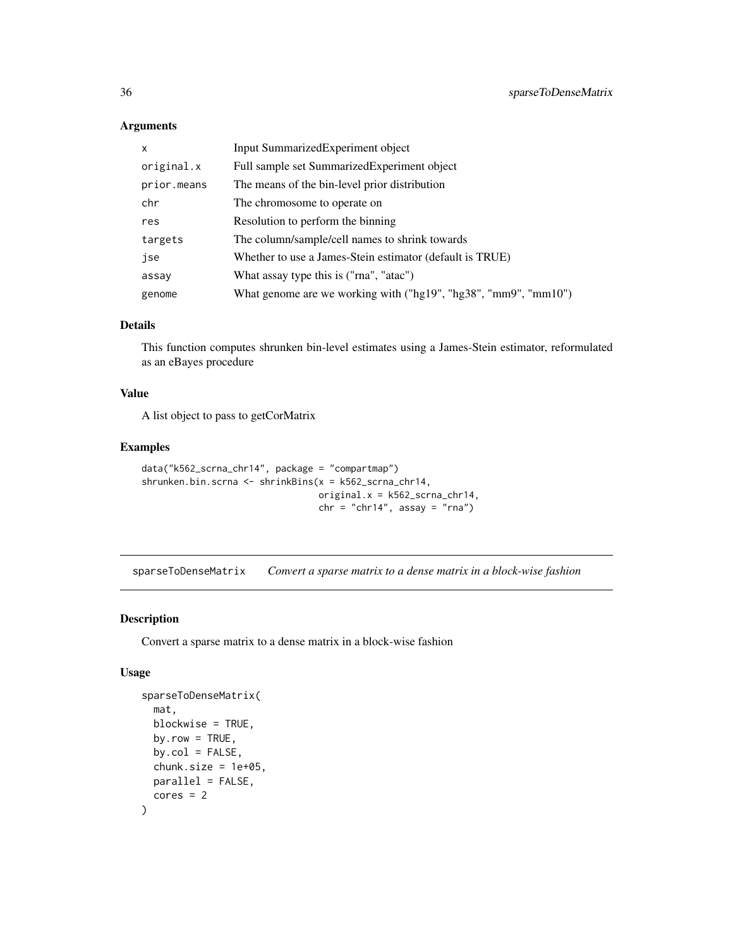### Arguments

| $\mathsf{x}$ | Input SummarizedExperiment object                               |
|--------------|-----------------------------------------------------------------|
| original.x   | Full sample set Summarized Experiment object                    |
| prior.means  | The means of the bin-level prior distribution                   |
| chr          | The chromosome to operate on                                    |
| res          | Resolution to perform the binning                               |
| targets      | The column/sample/cell names to shrink towards                  |
| jse          | Whether to use a James-Stein estimator (default is TRUE)        |
| assay        | What assay type this is ("rna", "atac")                         |
| genome       | What genome are we working with ("hg19", "hg38", "mm9", "mm10") |

### Details

This function computes shrunken bin-level estimates using a James-Stein estimator, reformulated as an eBayes procedure

#### Value

A list object to pass to getCorMatrix

### Examples

```
data("k562_scrna_chr14", package = "compartmap")
shrunken.bin.scrna <- shrinkBins(x = k562_scrna_chr14,
                                original.x = k562_scrna_chr14,
                                 chr = "chr14", assay = "rna")
```
sparseToDenseMatrix *Convert a sparse matrix to a dense matrix in a block-wise fashion*

### Description

Convert a sparse matrix to a dense matrix in a block-wise fashion

```
sparseToDenseMatrix(
 mat,
 blockwise = TRUE,
 by.row = TRUE,
 by.col = FALSE,
 chunk.size = 1e+05,
 parallel = FALSE,
 cores = 2)
```
<span id="page-35-0"></span>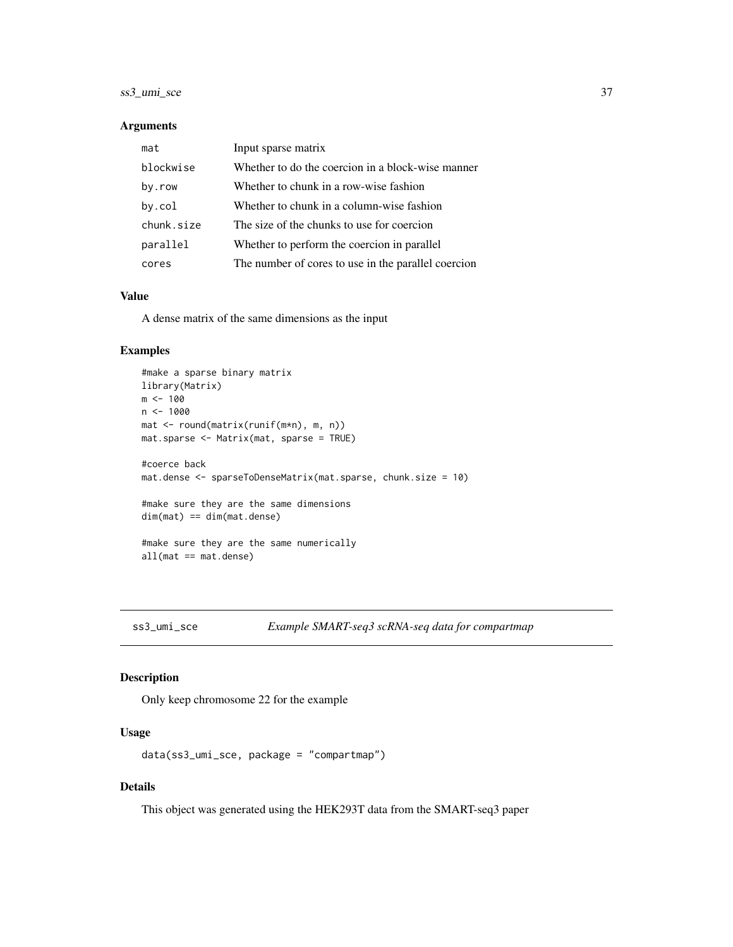### <span id="page-36-0"></span>ss3\_umi\_sce 37

#### Arguments

| mat        | Input sparse matrix                                 |
|------------|-----------------------------------------------------|
| blockwise  | Whether to do the coercion in a block-wise manner   |
| by.row     | Whether to chunk in a row-wise fashion              |
| by.col     | Whether to chunk in a column-wise fashion           |
| chunk.size | The size of the chunks to use for coercion          |
| parallel   | Whether to perform the coercion in parallel         |
| cores      | The number of cores to use in the parallel coercion |

#### Value

A dense matrix of the same dimensions as the input

### Examples

```
#make a sparse binary matrix
library(Matrix)
m <- 100
n <- 1000
mat <- round(matrix(runif(m*n), m, n))
mat.sparse <- Matrix(mat, sparse = TRUE)
#coerce back
mat.dense <- sparseToDenseMatrix(mat.sparse, chunk.size = 10)
#make sure they are the same dimensions
dim(mat) == dim(mat.dense)#make sure they are the same numerically
all(mat == mat.dense)
```

```
ss3_umi_sce Example SMART-seq3 scRNA-seq data for compartmap
```
### Description

Only keep chromosome 22 for the example

#### Usage

data(ss3\_umi\_sce, package = "compartmap")

### Details

This object was generated using the HEK293T data from the SMART-seq3 paper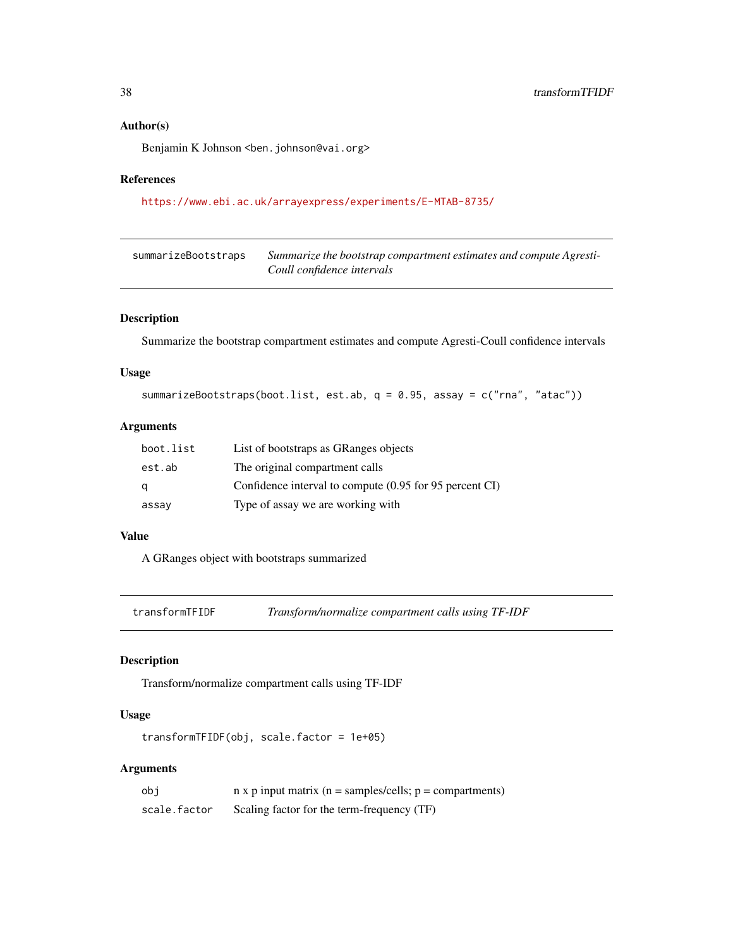### <span id="page-37-0"></span>Author(s)

Benjamin K Johnson <br/>ben.johnson@vai.org>

### References

<https://www.ebi.ac.uk/arrayexpress/experiments/E-MTAB-8735/>

| summarizeBootstraps | Summarize the bootstrap compartment estimates and compute Agresti- |
|---------------------|--------------------------------------------------------------------|
|                     | Coull confidence intervals                                         |

### Description

Summarize the bootstrap compartment estimates and compute Agresti-Coull confidence intervals

#### Usage

```
summarizeBootstraps(boot.list, est.ab, q = 0.95, assay = c("rna", "atac"))
```
### Arguments

| boot.list | List of bootstraps as GRanges objects                   |
|-----------|---------------------------------------------------------|
| est.ab    | The original compartment calls                          |
| q         | Confidence interval to compute (0.95 for 95 percent CI) |
| assay     | Type of assay we are working with                       |

### Value

A GRanges object with bootstraps summarized

transformTFIDF *Transform/normalize compartment calls using TF-IDF*

### Description

Transform/normalize compartment calls using TF-IDF

### Usage

transformTFIDF(obj, scale.factor = 1e+05)

### Arguments

| obi          | $n \times p$ input matrix ( $n =$ samples/cells; $p =$ compartments) |
|--------------|----------------------------------------------------------------------|
| scale.factor | Scaling factor for the term-frequency (TF)                           |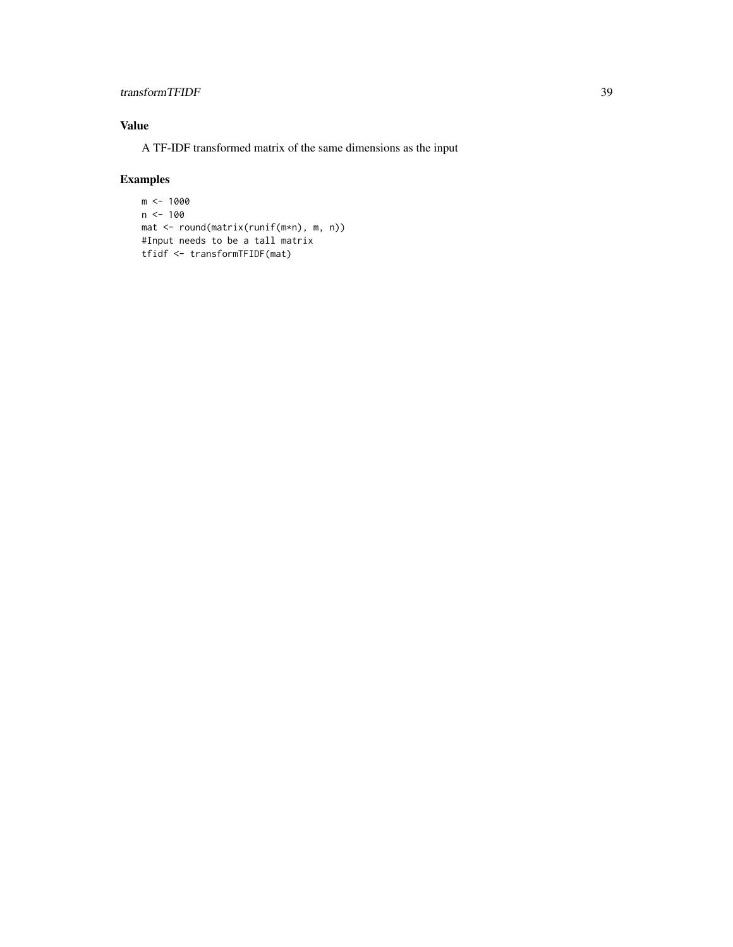### transformTFIDF 39

### Value

A TF-IDF transformed matrix of the same dimensions as the input

```
m <- 1000
n < -100mat <- round(matrix(runif(m*n), m, n))
#Input needs to be a tall matrix
tfidf <- transformTFIDF(mat)
```